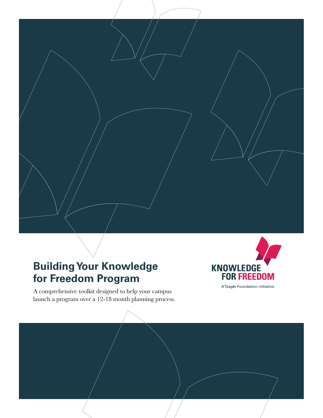# **Building Your Knowledge for Freedom Program**

A comprehensive toolkit designed to help your campus launch a program over a 12-18 month planning process.



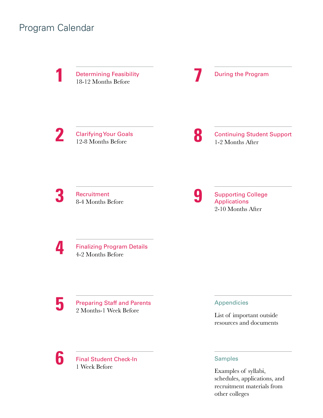## Program Calendar

**18-12 Months Before 18-12 Months Before 18-12 Months Before** 

**2** [Clarifying Your Goals](#page-10-0) 12-8 Months Before

**8** [Continuing Student Support](#page-33-0) 1-2 Months After

**3** Recruitment [8-4 Months Before](#page-14-0)

**9** Supporting College Applications 2-10 Months After

**4** [Finalizing Program Details](#page-18-0) 4-2 Months Before

**5** Preparing Staff and Parents 2 Months-1 Week Before

**6** [Final Student Check-In](#page-26-0) 1 Week Before

## Appendicies

[List of important outside](#page-37-0)  resources and documents

## Samples

Examples of syllabi, [schedules, applications, and](#page-37-1)  recruitment materials from other colleges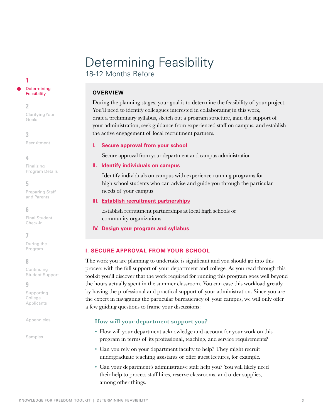## <span id="page-2-0"></span>Determining Feasibility 18-12 Months Before

## **OVERVIEW**

During the planning stages, your goal is to determine the feasibility of your project. You'll need to identify colleagues interested in collaborating in this work, draft a preliminary syllabus, sketch out a program structure, gain the support of your administration, seek guidance from experienced staff on campus, and establish the active engagement of local recruitment partners.

## **I. Secure approval from your school**

Secure approval from your department and campus administration

## **II. [Identify individuals on campus](#page-3-0)**

Identify individuals on campus with experience running programs for high school students who can advise and guide you through the particular needs of your campus

## **III. [Establish recruitment partnerships](#page-4-0)**

Establish recruitment partnerships at local high schools or community organizations

## **IV. [Design your program and syllabus](#page-6-0)**

## **I. SECURE APPROVAL FROM YOUR SCHOOL**

The work you are planning to undertake is significant and you should go into this process with the full support of your department and college. As you read through this toolkit you'll discover that the work required for running this program goes well beyond the hours actually spent in the summer classroom. You can ease this workload greatly by having the professional and practical support of your administration. Since you are the expert in navigating the particular bureaucracy of your campus, we will only offer a few guiding questions to frame your discussions:

## **How will your department support you?**

- How will your department acknowledge and account for your work on this program in terms of its professional, teaching, and service requirements?
- Can you rely on your department faculty to help? They might recruit undergraduate teaching assistants or offer guest lectures, for example.
- Can your department's administrative staff help you? You will likely need their help to process staff hires, reserve classrooms, and order supplies, among other things.

#### **Determining Feasibility**

## **2**

**1**

[Clarifying Your](#page-10-0)  Goals

## **3**

[Recruitment](#page-14-0)

## **4**

Finalizing [Program Details](#page-18-0)

## **5**

[Preparing Staff](#page-23-0)  and Parents

## **6**

[Final Student](#page-26-0)  Check-In

## **7**

[During the](#page-27-0)  Program

## **8**

Continuing [Student Support](#page-33-0)

## **9**

[Supporting](#page-36-0)  College Applicants

[Appendicies](#page-37-0)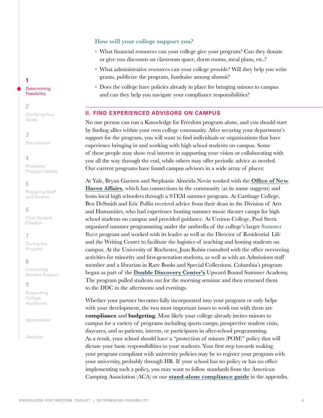## **How will your college support you?**

- What financial resources can your college give your program? Can they donate or give you discounts on classroom space, dorm rooms, meal plans, etc.?
- What administrative resources can your college provide? Will they help you write grants, publicize the program, fundraise among alumni?
- Does the college have policies already in place for bringing minors to campus and can they help you navigate your compliance responsibilities?

## <span id="page-3-0"></span>**II. FIND EXPERIENCED ADVISORS ON CAMPUS**

No one person can run a Knowledge for Freedom program alone, and you should start by finding allies within your own college community. After securing your department's support for the program, you will want to find individuals or organizations that have experience bringing in and working with high school students on campus. Some of these people may show real interest in supporting your vision or collaborating with you all the way through the end, while others may offer periodic advice as needed. Our current programs have found campus advisors in a wide array of places:

At Yale, Bryan Garsten and Stephanie Almeida Nevin worked with the **[Office of New](https://onha.yale.edu/)  [Haven Affairs](https://onha.yale.edu/public-schools-youth)**, which has connections in the community (as its name suggests) and hosts local high schoolers through a STEM summer program. At Carthage College, Ben DeSmidt and Eric Pullin received advice from their dean in the Division of Arts and Humanities, who had experience hosting summer music theater camps for high school students on campus and provided guidance. At Ursinus College, Paul Stern organized summer programming under the umbrella of the college's larger [Summer](https://www.ursinus.edu/summer/)  Burst program and worked with its leader as well as the Director of Residential Life and the Writing Center to facilitate the logistics of teaching and hosting students on campus. At the University of Rochester, Joan Rubin consulted with the office overseeing activities for minority and first-generation students, as well as with an Admissions staff member and a librarian in Rare Books and Special Collections. Columbia's program began as part of the **[Double Discovery Center's](https://ddc.college.columbia.edu/)** Upward Bound Summer Academy. The program pulled students out for the morning seminar and then returned them to the DDC in the afternoons and evenings.

Whether your partner becomes fully incorporated into your program or only helps with your development, the two most important issues to work out with them are **compliance** and **budgeting**. Most likely your college already invites minors to campus for a variety of programs including sports camps, prospective student visits, daycares, and as patients, interns, or participants in after-school programming. As a result, your school should have a "protection of minors (POM)" policy that will dictate your basic responsibilities to your students. Your first step towards making your program compliant with university policies may be to register your program with your university, probably through HR. If your school has no policy or has no office implementing such a policy, you may want to follow standards from the American Camping Association (ACA) or our **[stand-alone compliance guide](https://docs.google.com/document/d/1g-uhfcKS3sDUM263a6-kdIisZR0e19IJWFpXLTQ7a5Q/edit?pli=1)** in the appendix.

**1**

**Determining Feasibility** 

#### **2**

[Clarifying Your](#page-10-0)  Goals

#### **3**

[Recruitment](#page-14-0)

#### **4**

Finalizing [Program Details](#page-18-0)

#### **5**

[Preparing Staff](#page-23-0)  and Parents

#### **6**

[Final Student](#page-26-0)  Check-In

### **7**

[During the](#page-27-0)  Program

#### **8**

Continuing [Student Support](#page-33-0)

#### **9**

[Supporting](#page-36-0)  College Applicants

[Appendicies](#page-37-0)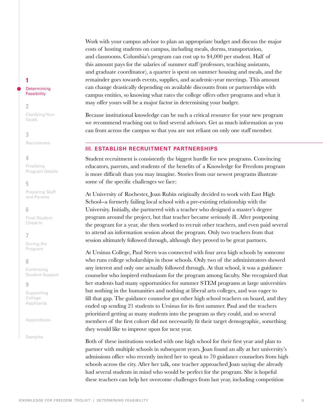Work with your campus advisor to plan an appropriate budget and discuss the major costs of hosting students on campus, including meals, dorms, transportation, and classrooms. Columbia's program can cost up to \$4,000 per student. Half of this amount pays for the salaries of summer staff (professors, teaching assistants, and graduate coordinator), a quarter is spent on summer housing and meals, and the remainder goes towards events, supplies, and academic-year meetings. This amount can change drastically depending on available discounts from or partnerships with campus entities, so knowing what rates the college offers other programs and what it may offer yours will be a major factor in determining your budget.

Because institutional knowledge can be such a critical resource for your new program we recommend reaching out to find several advisors. Get as much information as you can from across the campus so that you are not reliant on only one staff member.

## <span id="page-4-0"></span>**III. ESTABLISH RECRUITMENT PARTNERSHIPS**

Student recruitment is consistently the biggest hurdle for new programs. Convincing educators, parents, and students of the benefits of a Knowledge for Freedom program is more difficult than you may imagine. Stories from our newest programs illustrate some of the specific challenges we face:

At University of Rochester, Joan Rubin originally decided to work with East High School--a formerly failing local school with a pre-existing relationship with the University. Initially, she partnered with a teacher who designed a master's degree program around the project, but that teacher became seriously ill. After postponing the program for a year, she then worked to recruit other teachers, and even paid several to attend an information session about the program. Only two teachers from that session ultimately followed through, although they proved to be great partners.

At Ursinus College, Paul Stern was connected with four area high schools by someone who runs college scholarships in those schools. Only two of the administrators showed any interest and only one actually followed through. At that school, it was a guidance counselor who inspired enthusiasm for the program among faculty. She recognized that her students had many opportunities for summer STEM programs at large universities but nothing in the humanities and nothing at liberal arts colleges, and was eager to fill that gap. The guidance counselor got other high school teachers on board, and they ended up sending 21 students to Ursinus for its first summer. Paul and the teachers prioritized getting as many students into the program as they could, and so several members of the first cohort did not necessarily fit their target demographic, something they would like to improve upon for next year.

Both of these institutions worked with one high school for their first year and plan to partner with multiple schools in subsequent years. Joan found an ally at her university's admissions office who recently invited her to speak to 70 guidance counselors from high schools across the city. After her talk, one teacher approached Joan saying she already had several students in mind who would be perfect for the program. She is hopeful these teachers can help her overcome challenges from last year, including competition

#### **Determining** Feasibility

**2**

**1**

[Clarifying Your](#page-10-0)  Goals

**3**

[Recruitment](#page-14-0)

#### **4**

Finalizing [Program Details](#page-18-0)

#### **5**

[Preparing Staff](#page-23-0)  and Parents

#### **6**

[Final Student](#page-26-0)  Check-In

## **7**

[During the](#page-27-0)  Program

## **8**

Continuing [Student Support](#page-33-0)

#### **9**

[Supporting](#page-36-0)  College Applicants

[Appendicies](#page-37-0)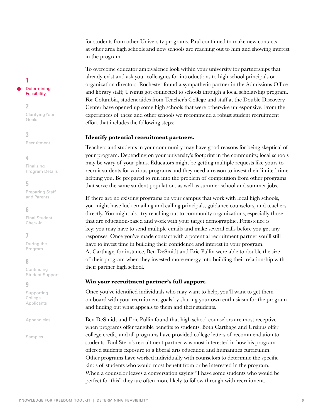for students from other University programs. Paul continued to make new contacts at other area high schools and now schools are reaching out to him and showing interest in the program.

To overcome educator ambivalence look within your university for partnerships that already exist and ask your colleagues for introductions to high school principals or organization directors. Rochester found a sympathetic partner in the Admissions Office and library staff; Ursinus got connected to schools through a local scholarship program. For Columbia, student aides from Teacher's College and staff at the Double Discovery Center have opened up some high schools that were otherwise unresponsive. From the experiences of these and other schools we recommend a robust student recruitment effort that includes the following steps:

#### **Identify potential recruitment partners.**

Teachers and students in your community may have good reasons for being skeptical of your program. Depending on your university's footprint in the community, local schools may be wary of your plans. Educators might be getting multiple requests like yours to recruit students for various programs and they need a reason to invest their limited time helping you. Be prepared to run into the problem of competition from other programs that serve the same student population, as well as summer school and summer jobs.

If there are no existing programs on your campus that work with local high schools, you might have luck emailing and calling principals, guidance counselors, and teachers directly. You might also try reaching out to community organizations, especially those that are education-based and work with your target demographic. Persistence is key: you may have to send multiple emails and make several calls before you get any responses. Once you've made contact with a potential recruitment partner you'll still have to invest time in building their confidence and interest in your program. At Carthage, for instance, Ben DeSmidt and Eric Pullin were able to double the size of their program when they invested more energy into building their relationship with their partner high school.

#### **Win your recruitment partner's full support.**

Once you've identified individuals who may want to help, you'll want to get them on board with your recruitment goals by sharing your own enthusiasm for the program and finding out what appeals to them and their students.

Ben DeSmidt and Eric Pullin found that high school counselors are most receptive when programs offer tangible benefits to students. Both Carthage and Ursinus offer college credit, and all programs have provided college letters of recommendation to students. Paul Stern's recruitment partner was most interested in how his program offered students exposure to a liberal arts education and humanities curriculum. Other programs have worked individually with counselors to determine the specific kinds of students who would most benefit from or be interested in the program. When a counselor leaves a conversation saying "I have some students who would be perfect for this" they are often more likely to follow through with recruitment.

#### **1 Determining Feasibility**

#### **2**

[Clarifying Your](#page-10-0)  Goals

#### **3**

[Recruitment](#page-14-0)

#### **4**

Finalizing [Program Details](#page-18-0)

## **5**

[Preparing Staff](#page-23-0)  and Parents

#### **6**

[Final Student](#page-26-0)  Check-In

## **7**

[During the](#page-27-0)  Program

## **8**

Continuing [Student Support](#page-33-0)

#### **9**

[Supporting](#page-36-0)  College Applicants

[Appendicies](#page-37-0)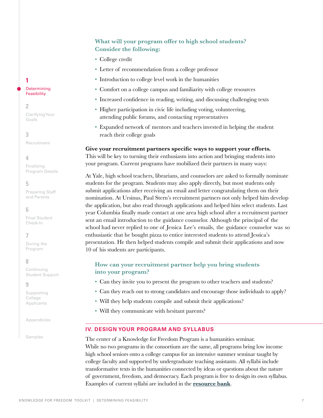## **What will your program offer to high school students? Consider the following:**

- College credit
- Letter of recommendation from a college professor
- Introduction to college level work in the humanities
- Comfort on a college campus and familiarity with college resources
- Increased confidence in reading, writing, and discussing challenging texts
- Higher participation in civic life including voting, volunteering, attending public forums, and contacting representatives
- Expanded network of mentors and teachers invested in helping the student reach their college goals

**Give your recruitment partners specific ways to support your efforts.** This will be key to turning their enthusiasm into action and bringing students into your program. Current programs have mobilized their partners in many ways:

At Yale, high school teachers, librarians, and counselors are asked to formally nominate students for the program. Students may also apply directly, but most students only submit applications after receiving an email and letter congratulating them on their nomination. At Ursinus, Paul Stern's recruitment partners not only helped him develop the application, but also read through applications and helped him select students. Last year Columbia finally made contact at one area high school after a recruitment partner sent an email introduction to the guidance counselor. Although the principal of the school had never replied to one of Jessica Lee's emails, the guidance counselor was so enthusiastic that he bought pizza to entice interested students to attend Jessica's presentation. He then helped students compile and submit their applications and now 10 of his students are participants.

## **How can your recruitment partner help you bring students into your program?**

- Can they invite you to present the program to other teachers and students?
- Can they reach out to strong candidates and encourage those individuals to apply?
- Will they help students compile and submit their applications?
- Will they communicate with hesitant parents?

## <span id="page-6-0"></span>**IV. DESIGN YOUR PROGRAM AND SYLLABUS**

The center of a Knowledge for Freedom Program is a humanities seminar. While no two programs in the consortium are the same, all programs bring low income high school seniors onto a college campus for an intensive summer seminar taught by college faculty and supported by undergraduate teaching assistants. All syllabi include transformative texts in the humanities connected by ideas or questions about the nature of government, freedom, and democracy. Each program is free to design its own syllabus. Examples of current syllabi are included in the **[resource bank](#page-37-1)**.

## **Determining Feasibility**

## **2**

**1**

[Clarifying Your](#page-10-0)  Goals

## **3**

[Recruitment](#page-14-0)

## **4**

Finalizing [Program Details](#page-18-0)

## **5**

[Preparing Staff](#page-23-0)  and Parents

## **6**

[Final Student](#page-26-0)  Check-In

## **7**

[During the](#page-27-0)  Program

## **8**

Continuing [Student Support](#page-33-0)

## **9**

[Supporting](#page-36-0)  College Applicants

[Appendicies](#page-37-0)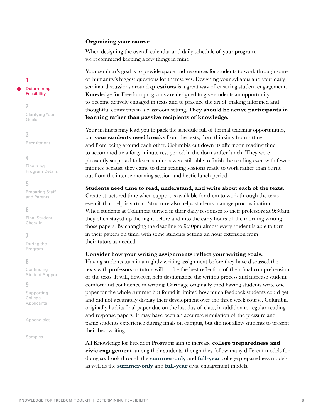#### **Organizing your course**

When designing the overall calendar and daily schedule of your program, we recommend keeping a few things in mind:

Your seminar's goal is to provide space and resources for students to work through some of humanity's biggest questions for themselves. Designing your syllabus and your daily seminar discussions around **questions** is a great way of ensuring student engagement. Knowledge for Freedom programs are designed to give students an opportunity to become actively engaged in texts and to practice the art of making informed and thoughtful comments in a classroom setting. **They should be active participants in learning rather than passive recipients of knowledge.**

Your instincts may lead you to pack the schedule full of formal teaching opportunities, but **your students need breaks** from the texts, from thinking, from sitting, and from being around each other. Columbia cut down its afternoon reading time to accommodate a forty minute rest period in the dorms after lunch. They were pleasantly surprised to learn students were still able to finish the reading even with fewer minutes because they came to their reading sessions ready to work rather than burnt out from the intense morning session and hectic lunch period.

**Students need time to read, understand, and write about each of the texts.**

Create structured time when support is available for them to work through the texts even if that help is virtual. Structure also helps students manage procrastination. When students at Columbia turned in their daily responses to their professors at 9:30am they often stayed up the night before and into the early hours of the morning writing those papers. By changing the deadline to 9:30pm almost every student is able to turn in their papers on time, with some students getting an hour extension from their tutors as needed.

#### **Consider how your writing assignments reflect your writing goals.**

Having students turn in a nightly writing assignment before they have discussed the texts with professors or tutors will not be the best reflection of their final comprehension of the texts. It will, however, help destigmatize the writing process and increase student comfort and confidence in writing. Carthage originally tried having students write one paper for the whole summer but found it limited how much feedback students could get and did not accurately display their development over the three week course. Columbia originally had its final paper due on the last day of class, in addition to regular reading and response papers. It may have been an accurate simulation of the pressure and panic students experience during finals on campus, but did not allow students to present their best writing.

All Knowledge for Freedom Programs aim to increase **college preparedness and civic engagement** among their students, though they follow many different models for doing so. Look through the **[summer-only](#page-28-0)** and **[full-year](#page-33-1)** college preparedness models as well as the **[summer-only](#page-30-0)** and **[full-year](#page-34-0)** civic engagement models.

## **Determining Feasibility**

#### **2**

**1**

[Clarifying Your](#page-10-0)  Goals

## **3**

[Recruitment](#page-14-0)

#### **4**

Finalizing [Program Details](#page-18-0)

#### **5**

[Preparing Staff](#page-23-0)  and Parents

#### **6**

[Final Student](#page-26-0)  Check-In

## **7**

[During the](#page-27-0)  Program

#### **8**

Continuing [Student Support](#page-33-0)

#### **9**

[Supporting](#page-36-0)  College Applicants

[Appendicies](#page-37-0)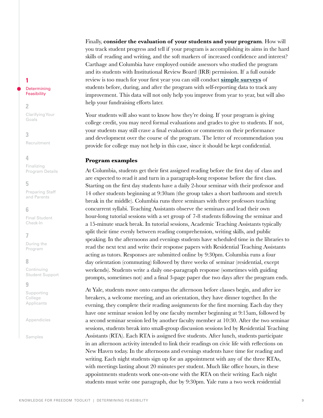Finally, **consider the evaluation of your students and your program**. How will you track student progress and tell if your program is accomplishing its aims in the hard skills of reading and writing, and the soft markers of increased confidence and interest? Carthage and Columbia have employed outside assessors who studied the program and its students with Institutional Review Board (IRB) permission. If a full outside review is too much for your first year you can still conduct **[simple surveys](https://docs.google.com/document/d/1YBhPrgxlxFc1cQ048n5OWjLdpo_7srEKPA6GUBPLf0c/edit)** of students before, during, and after the program with self-reporting data to track any improvement. This data will not only help you improve from year to year, but will also help your fundraising efforts later.

Your students will also want to know how they're doing. If your program is giving college credit, you may need formal evaluations and grades to give to students. If not, your students may still crave a final evaluation or comments on their performance and development over the course of the program. The letter of recommendation you provide for college may not help in this case, since it should be kept confidential.

#### **Program examples**

At Columbia, students get their first assigned reading before the first day of class and are expected to read it and turn in a paragraph-long response before the first class. Starting on the first day students have a daily 2-hour seminar with their professor and 14 other students beginning at 9:30am (the group takes a short bathroom and stretch break in the middle). Columbia runs three seminars with three professors teaching concurrent syllabi. Teaching Assistants observe the seminars and lead their own hour-long tutorial sessions with a set group of 7-8 students following the seminar and a 15-minute snack break. In tutorial sessions, Academic Teaching Assistants typically split their time evenly between reading comprehension, writing skills, and public speaking. In the afternoons and evenings students have scheduled time in the libraries to read the next text and write their response papers with Residential Teaching Assistants acting as tutors. Responses are submitted online by 9:30pm. Columbia runs a four day orientation (commuting) followed by three weeks of seminar (residential, except weekends). Students write a daily one-paragraph response (sometimes with guiding prompts, sometimes not) and a final 3-page paper due two days after the program ends.

At Yale, students move onto campus the afternoon before classes begin, and after ice breakers, a welcome meeting, and an orientation, they have dinner together. In the evening, they complete their reading assignments for the first morning. Each day they have one seminar session led by one faculty member beginning at 9:15am, followed by a second seminar session led by another faculty member at 10:30. After the two seminar sessions, students break into small-group discussion sessions led by Residential Teaching Assistants (RTA). Each RTA is assigned five students. After lunch, students participate in an afternoon activity intended to link their readings on civic life with reflections on New Haven today. In the afternoons and evenings students have time for reading and writing. Each night students sign up for an appointment with any of the three RTAs, with meetings lasting about 20 minutes per student. Much like office hours, in these appointments students work one-on-one with the RTA on their writing. Each night students must write one paragraph, due by 9:30pm. Yale runs a two week residential

## **1 Determining**

## Feasibility

#### **2**

[Clarifying Your](#page-10-0)  Goals

**3** [Recruitment](#page-14-0)

## **4**

Finalizing [Program Details](#page-18-0)

## **5**

[Preparing Staff](#page-23-0)  and Parents

## **6**

[Final Student](#page-26-0)  Check-In

## **7**

[During the](#page-27-0)  Program

## **8**

Continuing [Student Support](#page-33-0)

#### **9**

[Supporting](#page-36-0)  College Applicants

[Appendicies](#page-37-0)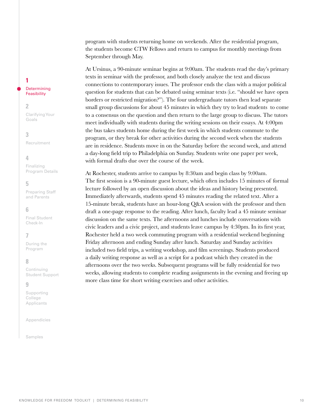program with students returning home on weekends. After the residential program, the students become CTW Fellows and return to campus for monthly meetings from September through May.

At Ursinus, a 90-minute seminar begins at 9:00am. The students read the day's primary texts in seminar with the professor, and both closely analyze the text and discuss connections to contemporary issues. The professor ends the class with a major political question for students that can be debated using seminar texts (i.e. "should we have open borders or restricted migration?"). The four undergraduate tutors then lead separate small group discussions for about 45 minutes in which they try to lead students to come to a consensus on the question and then return to the large group to discuss. The tutors meet individually with students during the writing sessions on their essays. At 4:00pm the bus takes students home during the first week in which students commute to the program, or they break for other activities during the second week when the students are in residence. Students move in on the Saturday before the second week, and attend a day-long field trip to Philadelphia on Sunday. Students write one paper per week, with formal drafts due over the course of the week.

At Rochester, students arrive to campus by 8:30am and begin class by 9:00am. The first session is a 90-minute guest lecture, which often includes 15 minutes of formal lecture followed by an open discussion about the ideas and history being presented. Immediately afterwards, students spend 45 minutes reading the related text. After a 15-minute break, students have an hour-long Q&A session with the professor and then draft a one-page response to the reading. After lunch, faculty lead a 45 minute seminar discussion on the same texts. The afternoons and lunches include conversations with civic leaders and a civic project, and students leave campus by 4:30pm. In its first year, Rochester held a two week commuting program with a residential weekend beginning Friday afternoon and ending Sunday after lunch. Saturday and Sunday activities included two field trips, a writing workshop, and film screenings. Students produced a daily writing response as well as a script for a podcast which they created in the afternoons over the two weeks. Subsequent programs will be fully residential for two weeks, allowing students to complete reading assignments in the evening and freeing up more class time for short writing exercises and other activities.

## **1**

#### **Determining Feasibility**

#### **2**

[Clarifying Your](#page-10-0)  Goals

## **3**

[Recruitment](#page-14-0)

## **4**

Finalizing [Program Details](#page-18-0)

## **5**

[Preparing Staff](#page-23-0)  and Parents

## **6**

[Final Student](#page-26-0)  Check-In

## **7**

[During the](#page-27-0)  Program

## **8**

Continuing [Student Support](#page-33-0)

#### **9**

[Supporting](#page-36-0)  College Applicants

[Appendicies](#page-37-0)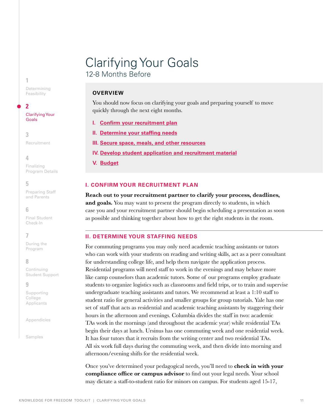# <span id="page-10-0"></span>Clarifying Your Goals 12-8 Months Before

## **OVERVIEW**

You should now focus on clarifying your goals and preparing yourself to move quickly through the next eight months.

- **I. [Confirm your recruitment plan](#page-10-1)**
- **II. [Determine your staffing needs](#page-10-2)**
- **III. [Secure space, meals, and other resources](#page-11-0)**
- **IV. [Develop student application and recruitment material](#page-11-1)**
- **V. [Budget](#page-13-0)**

#### <span id="page-10-1"></span>**I. CONFIRM YOUR RECRUITMENT PLAN**

**Reach out to your recruitment partner to clarify your process, deadlines, and goals.** You may want to present the program directly to students, in which case you and your recruitment partner should begin scheduling a presentation as soon as possible and thinking together about how to get the right students in the room.

## <span id="page-10-2"></span>**II. DETERMINE YOUR STAFFING NEEDS**

For commuting programs you may only need academic teaching assistants or tutors who can work with your students on reading and writing skills, act as a peer consultant for understanding college life, and help them navigate the application process. Residential programs will need staff to work in the evenings and may behave more like camp counselors than academic tutors. Some of our programs employ graduate students to organize logistics such as classrooms and field trips, or to train and supervise undergraduate teaching assistants and tutors. We recommend at least a 1:10 staff to student ratio for general activities and smaller groups for group tutorials. Yale has one set of staff that acts as residential and academic teaching assistants by staggering their hours in the afternoon and evenings. Columbia divides the staff in two: academic TAs work in the mornings (and throughout the academic year) while residential TAs begin their days at lunch. Ursinus has one commuting week and one residential week. It has four tutors that it recruits from the writing center and two residential TAs. All six work full days during the commuting week, and then divide into morning and afternoon/evening shifts for the residential week.

Once you've determined your pedagogical needs, you'll need to **check in with your compliance office or campus advisor** to find out your legal needs. Your school may dictate a staff-to-student ratio for minors on campus. For students aged 15-17,

[Determining](#page-2-0)  Feasibility

#### **2**

**1**

[Clarifying Your](#page-10-0)  Goals

**3** [Recruitment](#page-14-0)

#### **4**

Finalizing [Program Details](#page-18-0)

#### **5**

[Preparing Staff](#page-23-0)  and Parents

#### **6**

[Final Student](#page-26-0)  Check-In

## **7**

[During the](#page-27-0)  Program

#### **8**

Continuing [Student Support](#page-33-0)

#### **9**

[Supporting](#page-36-0)  College Applicants

[Appendicies](#page-37-0)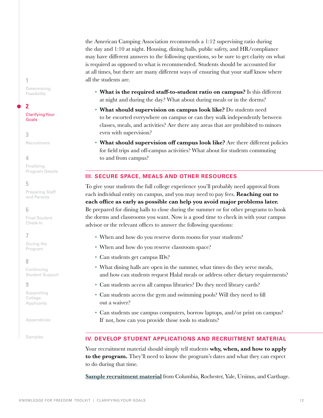the American Camping Association recommends a 1:12 supervising ratio during the day and 1:10 at night. Housing, dining halls, public safety, and HR/compliance may have different answers to the following questions, so be sure to get clarity on what is required as opposed to what is recommended. Students should be accounted for at all times, but there are many different ways of ensuring that your staff know where all the students are.

- **What is the required staff-to-student ratio on campus?** Is this different at night and during the day? What about during meals or in the dorms?
- **What should supervision on campus look like?** Do students need to be escorted everywhere on campus or can they walk independently between classes, meals, and activities? Are there any areas that are prohibited to minors even with supervision?
- **What should supervision off campus look like?** Are there different policies for field trips and off-campus activities? What about for students commuting to and from campus?

#### <span id="page-11-0"></span>**III. SECURE SPACE, MEALS AND OTHER RESOURCES**

To give your students the full college experience you'll probably need approval from each individual entity on campus, and you may need to pay fees. **Reaching out to each office as early as possible can help you avoid major problems later.** Be prepared for dining halls to close during the summer or for other programs to book the dorms and classrooms you want. Now is a good time to check in with your campus advisor or the relevant offices to answer the following questions:

- When and how do you reserve dorm rooms for your students?
- When and how do you reserve classroom space?
- Can students get campus IDs?
- What dining halls are open in the summer, what times do they serve meals, and how can students request Halal meals or address other dietary requirements?
- Can students access all campus libraries? Do they need library cards?
- Can students access the gym and swimming pools? Will they need to fill out a waiver?
- Can students use campus computers, borrow laptops, and/or print on campus? If not, how can you provide those tools to students?

#### <span id="page-11-1"></span>**IV. DEVELOP STUDENT APPLICATIONS AND RECRUITMENT MATERIAL**

Your recruitment material should simply tell students **why, when, and how to apply to the program.** They'll need to know the program's dates and what they can expect to do during that time.

**[Sample recruitment material](#page-38-0)** from Columbia, Rochester, Yale, Ursinus, and Carthage.

[Determining](#page-2-0)  Feasibility

**2**

**1**

[Clarifying Your](#page-10-0)  Goals

**3** [Recruitment](#page-14-0)

#### **4**

Finalizing [Program Details](#page-18-0)

## **5**

[Preparing Staff](#page-23-0)  and Parents

**6** 

[Final Student](#page-26-0)  Check-In

## **7**

[During the](#page-27-0)  Program

#### **8**

Continuing [Student Support](#page-33-0)

#### **9**

[Supporting](#page-36-0)  College Applicants

[Appendicies](#page-37-0)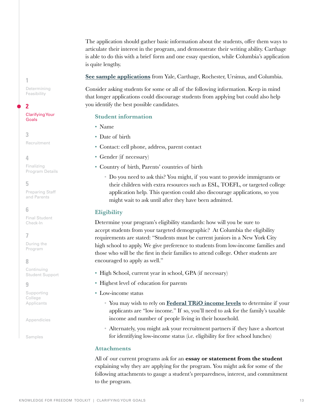The application should gather basic information about the students, offer them ways to articulate their interest in the program, and demonstrate their writing ability. Carthage is able to do this with a brief form and one essay question, while Columbia's application is quite lengthy.

**[See sample applications](#page-38-1)** from Yale, Carthage, Rochester, Ursinus, and Columbia.

Consider asking students for some or all of the following information. Keep in mind that longer applications could discourage students from applying but could also help you identify the best possible candidates.

#### **Student information**

- Name
- Date of birth
- Contact: cell phone, address, parent contact
- Gender (if necessary)
- Country of birth, Parents' countries of birth
	- Do you need to ask this? You might, if you want to provide immigrants or their children with extra resources such as ESL, TOEFL, or targeted college application help. This question could also discourage applications, so you might wait to ask until after they have been admitted.

#### **Eligibility**

Determine your program's eligibility standards: how will you be sure to accept students from your targeted demographic? At Columbia the eligibility requirements are stated: "Students must be current juniors in a New York City high school to apply. We give preference to students from low-income families and those who will be the first in their families to attend college. Other students are encouraged to apply as well."

- High School, current year in school, GPA (if necessary)
- Highest level of education for parents
- Low-income status
	- You may wish to rely on **[Federal TRiO income levels](https://www2.ed.gov/about/offices/list/ope/trio/incomelevels.html)** to determine if your applicants are "low income." If so, you'll need to ask for the family's taxable income and number of people living in their household.
	- Alternately, you might ask your recruitment partners if they have a shortcut for identifying low-income status (i.e. eligibility for free school lunches)

## **Attachments**

All of our current programs ask for an **essay or statement from the student** explaining why they are applying for the program. You might ask for some of the following attachments to gauge a student's preparedness, interest, and commitment to the program.

**1** [Determining](#page-2-0)  Feasibility

**2**

#### [Clarifying Your](#page-10-0)  Goals

**3** [Recruitment](#page-14-0)

## **4**

Finalizing [Program Details](#page-18-0)

## **5**

[Preparing Staff](#page-23-0)  and Parents

## **6**

[Final Student](#page-26-0)  Check-In

## **7**

[During the](#page-27-0)  Program

## **8**

Continuing [Student Support](#page-33-0)

#### **9**

[Supporting](#page-36-0)  College Applicants

[Appendicies](#page-37-0)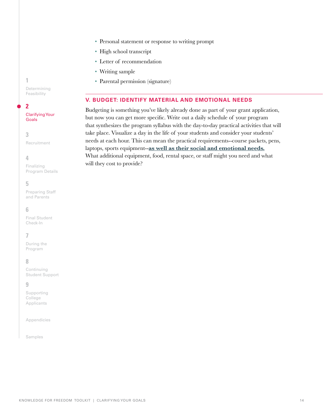**1**

[Determining](#page-2-0)  Feasibility

## **2**

[Clarifying Your](#page-10-0)  Goals

**3** [Recruitment](#page-14-0)

**4**

Finalizing [Program Details](#page-18-0)

## **5**

[Preparing Staff](#page-23-0)  and Parents

## **6**

[Final Student](#page-26-0)  Check-In

## **7**

[During the](#page-27-0)  Program

## **8**

Continuing [Student Support](#page-33-0)

#### **9**

[Supporting](#page-36-0)  College Applicants

[Appendicies](#page-37-0)

[Samples](#page-37-1)

• Personal statement or response to writing prompt

- High school transcript
- Letter of recommendation
- Writing sample
- Parental permission (signature)

## <span id="page-13-0"></span>**V. BUDGET: IDENTIFY MATERIAL AND EMOTIONAL NEEDS**

Budgeting is something you've likely already done as part of your grant application, but now you can get more specific. Write out a daily schedule of your program that synthesizes the program syllabus with the day-to-day practical activities that will take place. Visualize a day in the life of your students and consider your students' needs at each hour. This can mean the practical requirements--course packets, pens, laptops, sports equipment--**[as well as their social and emotional needs.](#page-27-1)** What additional equipment, food, rental space, or staff might you need and what will they cost to provide?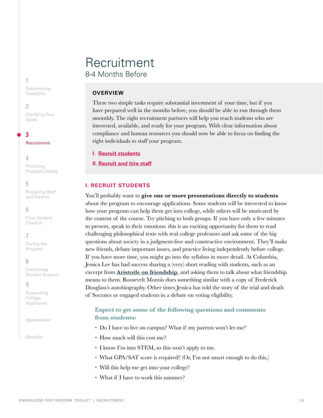## <span id="page-14-0"></span>**Recruitment** 8-4 Months Before

## **OVERVIEW**

These two simple tasks require substantial investment of your time, but if you have prepared well in the months before, you should be able to run through them smoothly. The right recruitment partners will help you reach students who are interested, available, and ready for your program. With clear information about compliance and human resources you should now be able to focus on finding the right individuals to staff your program.

**I. Recruit students**

**I[I. Recruit and hire staff](#page-15-0)**

## **I. RECRUIT STUDENTS**

You'll probably want to **give one or more presentations directly to students** about the program to encourage applications. Some students will be interested to know how your program can help them get into college, while others will be motivated by the content of the course. Try pitching to both groups. If you have only a few minutes to present, speak to their emotions: this is an exciting opportunity for them to read challenging philosophical texts with real college professors and ask some of the big questions about society in a judgment-free and constructive environment. They'll make new friends, debate important issues, and practice living independently before college. If you have more time, you might go into the syllabus in more detail. At Columbia, Jessica Lee has had success sharing a (very) short reading with students, such as an excerpt from **[Aristotle on friendship](https://docs.google.com/document/d/1Rakll8ApdYrWg5BOMvwOCTxeio72F1n05Qpj1LH3I8s/edit)**, and asking them to talk about what friendship means to them. Roosevelt Montás does something similar with a copy of Frederick Douglass's autobiography. Other times Jessica has told the story of the trial and death of Socrates or engaged students in a debate on voting eligibility.

## **Expect to get some of the following questions and comments from students:**

- Do I have to live on campus? What if my parents won't let me?
- How much will this cost me?
- I know I'm into STEM, so this won't apply to me.
- What GPA/SAT score is required? (Or, I'm not smart enough to do this.)
- Will this help me get into your college?
- What if I have to work this summer?

[Determining](#page-2-0)  Feasibility

#### **2**

**1**

[Clarifying Your](#page-10-0)  Goals

**3** [Recruitment](#page-14-0)

#### **4**

Finalizing [Program Details](#page-18-0)

## **5**

[Preparing Staff](#page-23-0)  and Parents

#### **6**

[Final Student](#page-26-0)  Check-In

## **7**

[During the](#page-27-0)  Program

## **8**

Continuing [Student Support](#page-33-0)

#### **9**

[Supporting](#page-36-0)  College Applicants

[Appendicies](#page-37-0)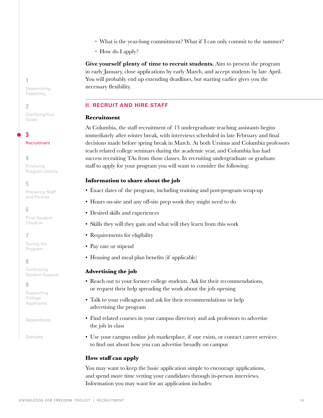KNOWLEDGE FOR FREEDOM TOOLKIT | RECRUITMENT

**1**

[Determining](#page-2-0)  Feasibility

#### **2**

[Clarifying Your](#page-10-0)  Goals

**3**

[Recruitment](#page-14-0)

## **4**

Finalizing [Program Details](#page-18-0)

## **5**

[Preparing Staff](#page-23-0)  and Parents

## **6**

[Final Student](#page-26-0)  Check-In

## **7**

[During the](#page-27-0)  Program

## **8**

Continuing [Student Support](#page-33-0)

## **9**

[Supporting](#page-36-0)  College Applicants

[Appendicies](#page-37-0)

[Samples](#page-37-1)

- What is the year-long commitment? What if I can only commit to the summer?
- How do I apply?

**Give yourself plenty of time to recruit students.** Aim to present the program in early January, close applications by early March, and accept students by late April. You will probably end up extending deadlines, but starting earlier gives you the necessary flexibility.

## <span id="page-15-0"></span>**II. RECRUIT AND HIRE STAFF**

## **Recruitment**

At Columbia, the staff recruitment of 13 undergraduate teaching assistants begins immediately after winter break, with interviews scheduled in late February and final decisions made before spring break in March. At both Ursinus and Columbia professors teach related college seminars during the academic year, and Columbia has had success recruiting TAs from those classes. In recruiting undergraduate or graduate staff to apply for your program you will want to consider the following:

## **Information to share about the job**

- Exact dates of the program, including training and post-program wrap-up
- Hours on-site and any off-site prep work they might need to do
- Desired skills and experiences
- Skills they will they gain and what will they learn from this work
- Requirements for eligibility
- Pay rate or stipend
- Housing and meal plan benefits (if applicable)

## **Advertising the job**

- Reach out to your former college students. Ask for their recommendations, or request their help spreading the work about the job opening
- Talk to your colleagues and ask for their recommendations or help advertising the program
- Find related courses in your campus directory and ask professors to advertise the job in class
- Use your campus online job marketplace, if one exists, or contact career services to find out about how you can advertise broadly on campus

## **How staff can apply**

You may want to keep the basic application simple to encourage applications, and spend more time vetting your candidates through in-person interviews. Information you may want for an application includes: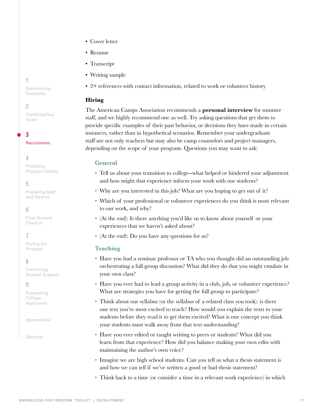KNOWLEDGE FOR FREEDOM TOOLKIT | RECRUITMENT

- Cover letter
- Resume
- Transcript
- Writing sample
- 2+ references with contact information, related to work or volunteer history

## **Hiring**

The American Camps Association recommends a **personal interview** for summer staff, and we highly recommend one as well. Try asking questions that get them to provide specific examples of their past behavior, or decisions they have made in certain instances, rather than in hypothetical scenarios. Remember your undergraduate staff are not only teachers but may also be camp counselors and project managers, depending on the scope of your program. Questions you may want to ask:

## **General**

- Tell us about your transition to college--what helped or hindered your adjustment and how might that experience inform your work with our students?
- Why are you interested in this job? What are you hoping to get out of it?
- Which of your professional or volunteer experiences do you think is most relevant to our work, and why?
- (At the end): Is there anything you'd like us to know about yourself or your experiences that we haven't asked about?
- (At the end): Do you have any questions for us?

## **Teaching**

- Have you had a seminar professor or TA who you thought did an outstanding job orchestrating a full group discussion? What did they do that you might emulate in your own class?
- Have you ever had to lead a group activity in a club, job, or volunteer experience? What are strategies you have for getting the full group to participate?
- Think about our syllabus (or the syllabus of a related class you took): is there one text you're most excited to teach? How would you explain the texts to your students before they read it to get them excited? What is one concept you think your students must walk away from that text understanding?
- Have you ever edited or taught writing to peers or students? What did you learn from that experience? How did you balance making your own edits with maintaining the author's own voice?
- Imagine we are high school students. Can you tell us what a thesis statement is and how we can tell if we've written a good or bad thesis statement?
- Think back to a time (or consider a time in a relevant work experience) in which

## **1**

[Determining](#page-2-0)  Feasibility

#### **2**

[Clarifying Your](#page-10-0)  Goals

**3**

[Recruitment](#page-14-0)

## **4**

Finalizing [Program Details](#page-18-0)

## **5**

[Preparing Staff](#page-23-0)  and Parents

## **6**

[Final Student](#page-26-0)  Check-In

## **7**

[During the](#page-27-0)  Program

## **8**

Continuing [Student Support](#page-33-0)

#### **9**

[Supporting](#page-36-0)  College Applicants

[Appendicies](#page-37-0)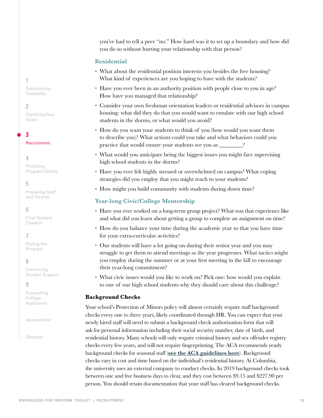you've had to tell a peer "no." How hard was it to set up a boundary and how did you do so without hurting your relationship with that person?

## **Residential**

- What about the residential position interests you besides the free housing? What kind of experiences are you hoping to have with the students?
- Have you ever been in an authority position with people close to you in age? How have you managed that relationship?
- Consider your own freshman orientation leaders or residential advisors in campus housing: what did they do that you would want to emulate with our high school students in the dorms, or what would you avoid?
- How do you want your students to think of you (how would you want them to describe you)? What actions could you take and what behaviors could you practice that would ensure your students see you as  $\_\_$
- What would you anticipate being the biggest issues you might face supervising high school students in the dorms?
- Have you ever felt highly stressed or overwhelmed on campus? What coping strategies did you employ that you might teach to your students?
- How might you build community with students during down time?

#### **Year-long Civic/College Mentorship**

- Have you ever worked on a long-term group project? What was that experience like and what did you learn about getting a group to complete an assignment on time?
- How do you balance your time during the academic year so that you have time for your extra-curricular activities?
- Our students will have a lot going on during their senior year and you may struggle to get them to attend meetings as the year progresses. What tactics might you employ during the summer or at your first meeting in the fall to encourage their year-long commitment?
- What civic issues would you like to work on? Pick one: how would you explain to one of our high school students why they should care about this challenge?

#### **Background Checks**

Your school's Protection of Minors policy will almost certainly require staff background checks every one to three years, likely coordinated through HR. You can expect that your newly hired staff will need to submit a background check authorization form that will ask for personal information including their social security number, date of birth, and residential history. Many schools will only require criminal history and sex offender registry checks every few years, and will not require fingerprinting. The ACA recommends yearly background checks for seasonal staff (**[see the ACA guidelines here](https://www.acacamps.org/sites/default/files/resource_library/publicpolicy/Criminal_Background_Checks_Education_2018.pdf)**). Background checks vary in cost and time based on the individual's residential history. At Columbia, the university uses an external company to conduct checks. In 2019 background checks took between one and five business days to clear, and they cost between \$9.15 and \$227.90 per person. You should retain documentation that your staff has cleared background checks.

**1** [Determining](#page-2-0)  Feasibility

#### **2**

[Clarifying Your](#page-10-0)  Goals

## **3**

[Recruitment](#page-14-0)

#### **4**

Finalizing [Program Details](#page-18-0)

## **5**

[Preparing Staff](#page-23-0)  and Parents

#### **6**

[Final Student](#page-26-0)  Check-In

## **7**

[During the](#page-27-0)  Program

## **8**

Continuing [Student Support](#page-33-0)

#### **9**

[Supporting](#page-36-0)  College Applicants

[Appendicies](#page-37-0)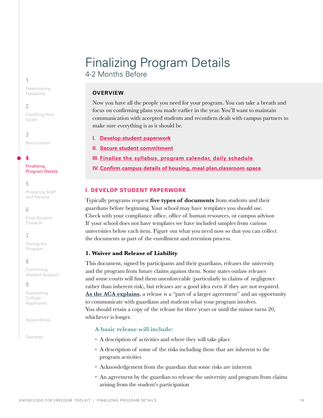# <span id="page-18-0"></span>Finalizing Program Details 4-2 Months Before

## **OVERVIEW**

Now you have all the people you need for your program. You can take a breath and focus on confirming plans you made earlier in the year. You'll want to maintain communication with accepted students and reconfirm deals with campus partners to make sure everything is as it should be.

## **I. [Develop student paperwork](#page-18-1)**

**II. [Secure student commitment](#page-21-0)**

- **[III. Finalize the syllabus, program calendar, daily schedule](#page-22-0)**
- **[IV. Confirm campus details of housing, meal plan,classroom space](#page-22-1)**

## <span id="page-18-1"></span>**I. DEVELOP STUDENT PAPERWORK**

Typically programs request **five types of documents** from students and their guardians before beginning. Your school may have templates you should use. Check with your compliance office, office of human resources, or campus advisor. If your school does not have templates we have included samples from various universities below each item. Figure out what you need now so that you can collect the documents as part of the enrollment and retention process.

## **1. Waiver and Release of Liability**

This document, signed by participants and their guardians, releases the university and the program from future claims against them. Some states outlaw releases and some courts will find them unenforceable (particularly in claims of negligence rather than inherent risk), but releases are a good idea even if they are not required. **[As the ACA explains](https://www.acacamps.org/resource-library/articles/releases-revisited)**, a release is a "part of a larger agreement" and an opportunity to communicate with guardians and students what your program involves. You should retain a copy of the release for three years or until the minor turns 20, whichever is longer.

## **A basic release will include:**

- A description of activities and where they will take place
- A description of some of the risks including those that are inherent to the program activities
- Acknowledgement from the guardian that some risks are inherent
- An agreement by the guardian to release the university and program from claims arising from the student's participation

[Determining](#page-2-0)  Feasibility

**2**

**1**

[Clarifying Your](#page-10-0)  Goals

**3** [Recruitment](#page-14-0)

**4**

Finalizing [Program Details](#page-18-0)

**5**

[Preparing Staff](#page-23-0)  and Parents

## **6**

[Final Student](#page-26-0)  Check-In

## **7**

[During the](#page-27-0)  Program

## **8**

Continuing [Student Support](#page-33-0)

**9**

[Supporting](#page-36-0)  College Applicants

[Appendicies](#page-37-0)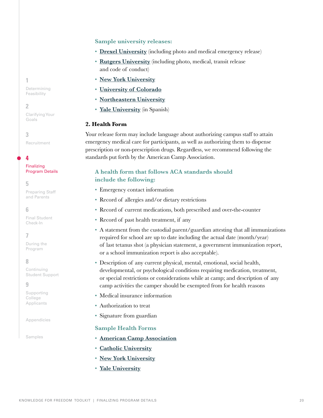#### **Sample university releases:**

- **[Drexel University](https://drexel.edu/~/media/Files/GeneralCounsel/Voluntary%20Trip%20or%20Program%20Release9-9-21.ashx?la=en)** (including photo and medical emergency release)
- **[Rutgers University](https://nj4h.rutgers.edu/leadership/leadership-for-life/NJ-Event-Permission-Form-L4L-Module-1-Winter-2021.pdf)** (including photo, medical, transit release and code of conduct)
- **[New York University](https://www.nyu.edu/content/dam/nyu/protectMinors/docs/ReleaseForm.pdf)**
- **[University of Colorado](https://www.cu.edu/docs/participant-notice-risk-and-waiver)**
- **[Northeastern University](https://www.northeastern.edu/risk-services/wp-content/uploads/2017/09/Consent-to-Participate-and-Release-07-2017-Ed.pdf)**
- **[Yale University](https://programs-minors.yale.edu/sites/default/files/agt_waiver_release_and_indemnity_for_minors-_spanish_-_5-2014.doc)** (in Spanish)

#### **2. Health Form**

Your release form may include language about authorizing campus staff to attain emergency medical care for participants, as well as authorizing them to dispense prescription or non-prescription drugs. Regardless, we recommend following the standards put forth by the American Camp Association.

## **A health form that follows ACA standards should include the following:**

- Emergency contact information
- Record of allergies and/or dietary restrictions
- Record of current medications, both prescribed and over-the-counter
- Record of past health treatment, if any
- A statement from the custodial parent/guardian attesting that all immunizations required for school are up to date including the actual date (month/year) of last tetanus shot (a physician statement, a government immunization report, or a school immunization report is also acceptable).
- Description of any current physical, mental, emotional, social health, developmental, or psychological conditions requiring medication, treatment, or special restrictions or considerations while at camp; and description of any camp activities the camper should be exempted from for health reasons
- Medical insurance information
- Authorization to treat
- Signature from guardian

#### **Sample Health Forms**

- **[American Camp Association](https://www.acacamps.org/sites/default/files/resource_library/forms/Camper-Health-History-Form.pdf)**
- **[Catholic University](https://policies.catholic.edu/_media/docs/health_information_form_2018.pdf)**
- **[New York University](https://www.nyu.edu/content/dam/nyu/protectMinors/docs/Authorization-for-Treatment-of-a-Minor.pdf)**
- **[Yale University](https://programs-minors.yale.edu/sites/default/files/program_participant_medical_form_1.16.14_0.doc)**

[Determining](#page-2-0)  Feasibility

**2**

**1**

[Clarifying Your](#page-10-0)  Goals

**3** [Recruitment](#page-14-0)

**4**

Finalizing [Program Details](#page-18-0)

## **5**

[Preparing Staff](#page-23-0)  and Parents

#### **6**

[Final Student](#page-26-0)  Check-In

## **7**

[During the](#page-27-0)  Program

#### **8**

Continuing [Student Support](#page-33-0)

#### **9**

[Supporting](#page-36-0)  College Applicants

[Appendicies](#page-37-0)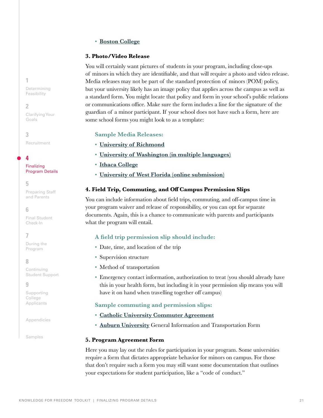#### • **[Boston College](https://www.bc.edu/content/dam/files/offices/hr/pdf/Medical_form_minors.pdf)**

#### **3. Photo/Video Release**

You will certainly want pictures of students in your program, including close-ups of minors in which they are identifiable, and that will require a photo and video release. Media releases may not be part of the standard protection of minors (POM) policy, but your university likely has an image policy that applies across the campus as well as a standard form. You might locate that policy and form in your school's public relations or communications office. Make sure the form includes a line for the signature of the guardian of a minor participant. If your school does not have such a form, here are some school forms you might look to as a template:

#### **Sample Media Releases:**

- **[University of Richmond](https://is.richmond.edu/multimedia/release-form.html)**
- **[University of Washington \(in multiple languages\)](https://www.washington.edu/brand/graphic-elements/photography/personal-release/)**
- **[Ithaca College](https://ithacaedu.formstack.com/forms/photo_multimedia_release_form)**
- **[University of West Florida \(online submission\)](https://uwf.edu/offices/institutional-communications/resources/forms/model-release-form/)**

#### **4. Field Trip, Commuting, and Off Campus Permission Slips**

You can include information about field trips, commuting, and off-campus time in your program waiver and release of responsibility, or you can opt for separate documents. Again, this is a chance to communicate with parents and participants what the program will entail.

#### **A field trip permission slip should include:**

- Date, time, and location of the trip
- Supervision structure
- Method of transportation
- Emergency contact information, authorization to treat (you should already have this in your health form, but including it in your permission slip means you will have it on hand when travelling together off campus)

#### **Sample commuting and permission slips:**

## • **[Catholic University Commuter Agreement](https://policies.catholic.edu/_media/docs/commuter_agreement_5-10-18.docx)**

• **Auburn University** [General Information and Transportation Form](https://cws.auburn.edu/shared/content/files/1642/MOC%20Youth%20Program-Camp%20General%20Information%20Form.pdf)

#### **5. Program Agreement Form**

Here you may lay out the rules for participation in your program. Some universities require a form that dictates appropriate behavior for minors on campus. For those that don't require such a form you may still want some documentation that outlines your expectations for student participation, like a "code of conduct."

**1** [Determining](#page-2-0)  Feasibility

**2**

[Clarifying Your](#page-10-0)  Goals

**3** [Recruitment](#page-14-0)

**4**

Finalizing [Program Details](#page-18-0)

**5**

[Preparing Staff](#page-23-0)  and Parents

**6** 

[Final Student](#page-26-0)  Check-In

## **7**

[During the](#page-27-0)  Program

#### **8**

Continuing [Student Support](#page-33-0)

#### **9**

[Supporting](#page-36-0)  College Applicants

[Appendicies](#page-37-0)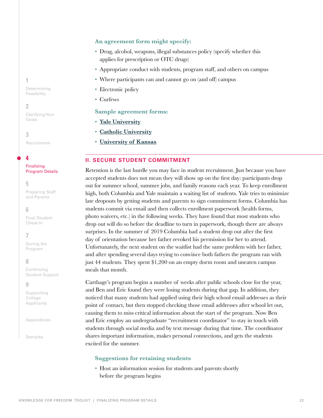#### **An agreement form might specify:**

- Drug, alcohol, weapons, illegal substances policy (specify whether this applies for prescription or OTC drugs)
- Appropriate conduct with students, program staff, and others on campus
- Where participants can and cannot go on (and off) campus
- Electronic policy
- Curfews

#### **Sample agreement forms:**

- **[Yale University](https://programs-minors.yale.edu/sites/default/files/participant_supervision_agreement_10-2015_0.docx)**
- **[Catholic University](https://policies.catholic.edu/_media/docs/camp_rules_2-5-18.docx)**
- **[University of Kansas](https://youthprograms.ku.edu/sites/youthprograms.ku.edu/files/docs/Participant%20Guidelines-Expectations%20-%202017.docx)**

#### <span id="page-21-0"></span>**II. SECURE STUDENT COMMITMENT**

Retention is the last hurdle you may face in student recruitment. Just because you have accepted students does not mean they will show up on the first day: participants drop out for summer school, summer jobs, and family reasons each year. To keep enrollment high, both Columbia and Yale maintain a waiting list of students. Yale tries to minimize late dropouts by getting students and parents to sign commitment forms. Columbia has students commit via email and then collects enrollment paperwork (health forms, photo waivers, etc.) in the following weeks. They have found that most students who drop out will do so before the deadline to turn in paperwork, though there are always surprises. In the summer of 2019 Columbia had a student drop out after the first day of orientation because her father revoked his permission for her to attend. Unfortunately, the next student on the waitlist had the same problem with her father, and after spending several days trying to convince both fathers the program ran with just 44 students. They spent \$1,200 on an empty dorm room and uneaten campus meals that month.

Carthage's program begins a number of weeks after public schools close for the year, and Ben and Eric found they were losing students during that gap. In addition, they noticed that many students had applied using their high school email addresses as their point of contact, but then stopped checking those email addresses after school let out, causing them to miss critical information about the start of the program. Now Ben and Eric employ an undergraduate "recruitment coordinator" to stay in touch with students through social media and by text message during that time. The coordinator shares important information, makes personal connections, and gets the students excited for the summer.

#### **Suggestions for retaining students**

• Host an information session for students and parents shortly before the program begins

**1**

[Determining](#page-2-0)  Feasibility

#### **2**

[Clarifying Your](#page-10-0)  Goals

**3** [Recruitment](#page-14-0)

**4**

#### Finalizing [Program Details](#page-18-0)

### **5**

[Preparing Staff](#page-23-0)  and Parents

#### **6**

[Final Student](#page-26-0)  Check-In

## **7**

[During the](#page-27-0)  Program

#### **8**

Continuing [Student Support](#page-33-0)

#### **9**

[Supporting](#page-36-0)  College Applicants

[Appendicies](#page-37-0)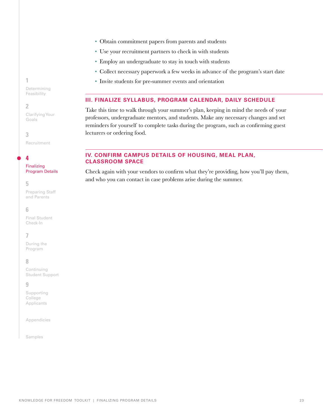- Obtain commitment papers from parents and students
- Use your recruitment partners to check in with students
- Employ an undergraduate to stay in touch with students
- Collect necessary paperwork a few weeks in advance of the program's start date
- Invite students for pre-summer events and orientation

## <span id="page-22-0"></span>**III. FINALIZE SYLLABUS, PROGRAM CALENDAR, DAILY SCHEDULE**

Take this time to walk through your summer's plan, keeping in mind the needs of your professors, undergraduate mentors, and students. Make any necessary changes and set reminders for yourself to complete tasks during the program, such as confirming guest lecturers or ordering food.

## <span id="page-22-1"></span>**IV. CONFIRM CAMPUS DETAILS OF HOUSING, MEAL PLAN, CLASSROOM SPACE**

Check again with your vendors to confirm what they're providing, how you'll pay them, and who you can contact in case problems arise during the summer.

**1**

[Determining](#page-2-0)  Feasibility

#### **2**

[Clarifying Your](#page-10-0)  Goals

**3** [Recruitment](#page-14-0)

**4**

#### Finalizing [Program Details](#page-18-0)

#### **5**

[Preparing Staff](#page-23-0)  and Parents

#### **6**

[Final Student](#page-26-0)  Check-In

## **7**

[During the](#page-27-0)  Program

## **8**

Continuing [Student Support](#page-33-0)

#### **9**

[Supporting](#page-36-0)  College Applicants

[Appendicies](#page-37-0)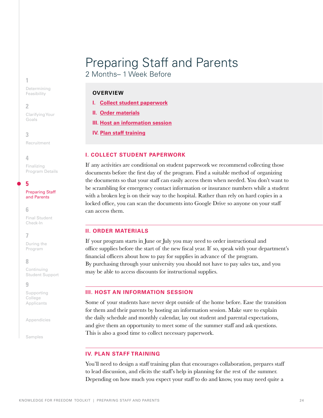# <span id="page-23-0"></span>Preparing Staff and Parents

2 Months– 1 Week Before

## **OVERVIEW**

**I. [Collect student paperwork](#page-23-1)**

**[II. Order materials](#page-23-2)**

**III. [Host an information session](#page-23-3)**

**IV. [Plan staff training](#page-23-4)**

## <span id="page-23-1"></span>**I. COLLECT STUDENT PAPERWORK**

If any activities are conditional on student paperwork we recommend collecting those documents before the first day of the program. Find a suitable method of organizing the documents so that your staff can easily access them when needed. You don't want to be scrambling for emergency contact information or insurance numbers while a student with a broken leg is on their way to the hospital. Rather than rely on hard copies in a locked office, you can scan the documents into Google Drive so anyone on your staff can access them.

#### <span id="page-23-2"></span>**II. ORDER MATERIALS**

If your program starts in June or July you may need to order instructional and office supplies before the start of the new fiscal year. If so, speak with your department's financial officers about how to pay for supplies in advance of the program. By purchasing through your university you should not have to pay sales tax, and you may be able to access discounts for instructional supplies.

#### <span id="page-23-3"></span>**III. HOST AN INFORMATION SESSION**

Some of your students have never slept outside of the home before. Ease the transition for them and their parents by hosting an information session. Make sure to explain the daily schedule and monthly calendar, lay out student and parental expectations, and give them an opportunity to meet some of the summer staff and ask questions. This is also a good time to collect necessary paperwork.

## <span id="page-23-4"></span>**IV. PLAN STAFF TRAINING**

You'll need to design a staff training plan that encourages collaboration, prepares staff to lead discussion, and elicits the staff's help in planning for the rest of the summer. Depending on how much you expect your staff to do and know, you may need quite a

[Determining](#page-2-0)  Feasibility

#### **2**

**1**

[Clarifying Your](#page-10-0)  Goals

**3**

[Recruitment](#page-14-0)

## **4**

Finalizing [Program Details](#page-18-0)

**5**

#### [Preparing Staff](#page-23-0)  and Parents

#### **6**

[Final Student](#page-26-0)  Check-In

## **7**

[During the](#page-27-0)  Program

## **8**

Continuing [Student Support](#page-33-0)

#### **9**

[Supporting](#page-36-0)  College Applicants

[Appendicies](#page-37-0)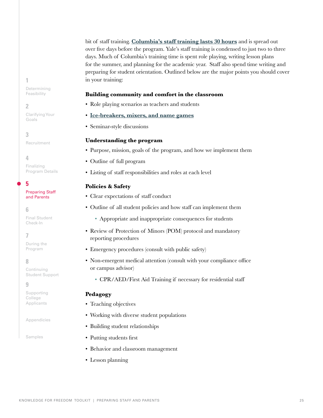bit of staff training. **[Columbia's staff training lasts 30 hours](https://docs.google.com/document/d/17FXgplUx8mCEB9fxgJOtiPEDUZ7Ht0XiJ2zwQsYQuA8/edit)** and is spread out over five days before the program. Yale's staff training is condensed to just two to three days. Much of Columbia's training time is spent role playing, writing lesson plans for the summer, and planning for the academic year. Staff also spend time writing and preparing for student orientation. Outlined below are the major points you should cover in your training:

#### **Building community and comfort in the classroom**

- Role playing scenarios as teachers and students
- **[Ice-breakers, mixers, and name games](https://docs.google.com/document/d/11MV4ZNlADAv1QdYRPvA7qDWQEwEwrCzmzOQOcCkSa_c/edit)**
- Seminar-style discussions

#### **Understanding the program**

- Purpose, mission, goals of the program, and how we implement them
- Outline of full program
- Listing of staff responsibilities and roles at each level

## **Policies & Safety**

- Clear expectations of staff conduct
- Outline of all student policies and how staff can implement them
	- Appropriate and inappropriate consequences for students
- Review of Protection of Minors (POM) protocol and mandatory reporting procedures
- Emergency procedures (consult with public safety)
- Non-emergent medical attention (consult with your compliance office or campus advisor)
	- CPR/AED/First Aid Training if necessary for residential staff

#### **Pedagogy**

- Teaching objectives
- Working with diverse student populations
- Building student relationships
- Putting students first
- Behavior and classroom management
- Lesson planning

[Determining](#page-2-0)  Feasibility

#### **2**

**1**

[Clarifying Your](#page-10-0)  Goals

**3**

[Recruitment](#page-14-0)

## **4**

Finalizing [Program Details](#page-18-0)

## **5**

#### [Preparing Staff](#page-23-0)  and Parents

#### **6**

[Final Student](#page-26-0)  Check-In

## **7**

[During the](#page-27-0)  Program

## **8**

Continuing [Student Support](#page-33-0)

#### **9**

[Supporting](#page-36-0)  College Applicants

#### [Appendicies](#page-37-0)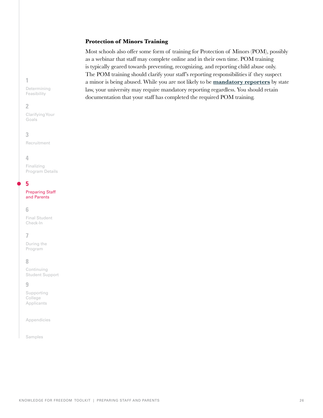#### **Protection of Minors Training**

Most schools also offer some form of training for Protection of Minors (POM), possibly as a webinar that staff may complete online and in their own time. POM training is typically geared towards preventing, recognizing, and reporting child abuse only. The POM training should clarify your staff's reporting responsibilities if they suspect a minor is being abused. While you are not likely to be **[mandatory reporters](https://www.childwelfare.gov/pubPDFs/manda.pdf#page=2&view=Professionals%20required%20to%20report)** by state law, your university may require mandatory reporting regardless. You should retain documentation that your staff has completed the required POM training.

**1**

[Determining](#page-2-0)  Feasibility

#### **2**

[Clarifying Your](#page-10-0)  Goals

### **3**

[Recruitment](#page-14-0)

#### **4**

Finalizing [Program Details](#page-18-0)

## **5**

[Preparing Staff](#page-23-0)  and Parents

#### **6**

[Final Student](#page-26-0)  Check-In

## **7**

[During the](#page-27-0)  Program

## **8**

Continuing [Student Support](#page-33-0)

#### **9**

[Supporting](#page-36-0)  College **Applicants** 

[Appendicies](#page-37-0)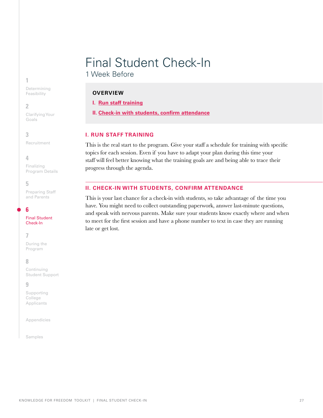# <span id="page-26-0"></span>Final Student Check-In

1 Week Before

## **OVERVIEW**

**I. Run staff training**

**II. Check-in with students, confirm attendance**

## **I. RUN STAFF TRAINING**

This is the real start to the program. Give your staff a schedule for training with specific topics for each session. Even if you have to adapt your plan during this time your staff will feel better knowing what the training goals are and being able to trace their progress through the agenda.

## **II. CHECK-IN WITH STUDENTS, CONFIRM ATTENDANCE**

This is your last chance for a check-in with students, so take advantage of the time you have. You might need to collect outstanding paperwork, answer last-minute questions, and speak with nervous parents. Make sure your students know exactly where and when to meet for the first session and have a phone number to text in case they are running late or get lost.

#### **1**

[Determining](#page-2-0)  Feasibility

## **2**

[Clarifying Your](#page-10-0)  Goals

## **3**

[Recruitment](#page-14-0)

## **4**

Finalizing [Program Details](#page-18-0)

## **5**

[Preparing Staff](#page-23-0)  and Parents

## **6**

[Final Student](#page-26-0)  Check-In

## **7**

[During the](#page-27-0)  Program

## **8**

Continuing [Student Support](#page-33-0)

## **9**

[Supporting](#page-36-0)  College Applicants

[Appendicies](#page-37-0)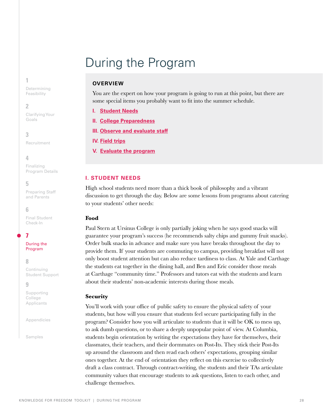# <span id="page-27-0"></span>During the Program

## **OVERVIEW**

You are the expert on how your program is going to run at this point, but there are some special items you probably want to fit into the summer schedule.

- **I. [Student Needs](#page-27-1)**
- **II. [College Preparedness](#page-28-0)**
- **III. [Observe and evaluate staff](#page-31-0)**
- **IV. [Field trips](#page-31-1)**
- **V. [Evaluate the program](#page-32-0)**

## <span id="page-27-1"></span>**I. STUDENT NEEDS**

High school students need more than a thick book of philosophy and a vibrant discussion to get through the day. Below are some lessons from programs about catering to your students' other needs:

#### **Food**

Paul Stern at Ursinus College is only partially joking when he says good snacks will guarantee your program's success (he recommends salty chips and gummy fruit snacks). Order bulk snacks in advance and make sure you have breaks throughout the day to provide them. If your students are commuting to campus, providing breakfast will not only boost student attention but can also reduce tardiness to class. At Yale and Carthage the students eat together in the dining hall, and Ben and Eric consider those meals at Carthage "community time." Professors and tutors eat with the students and learn about their students' non-academic interests during those meals.

#### **Security**

You'll work with your office of public safety to ensure the physical safety of your students, but how will you ensure that students feel secure participating fully in the program? Consider how you will articulate to students that it will be OK to mess up, to ask dumb questions, or to share a deeply unpopular point of view. At Columbia, students begin orientation by writing the expectations they have for themselves, their classmates, their teachers, and their dormmates on Post-Its. They stick their Post-Its up around the classroom and then read each others' expectations, grouping similar ones together. At the end of orientation they reflect on this exercise to collectively draft a class contract. Through contract-writing, the students and their TAs articulate community values that encourage students to ask questions, listen to each other, and challenge themselves.

[Determining](#page-2-0)  Feasibility

#### **2**

**1**

[Clarifying Your](#page-10-0)  Goals

**3**

[Recruitment](#page-14-0)

#### **4**

Finalizing [Program Details](#page-18-0)

## **5**

[Preparing Staff](#page-23-0)  and Parents

#### **6**

[Final Student](#page-26-0)  Check-In

## **7**

[During the](#page-27-0)  Program

#### **8**

Continuing [Student Support](#page-33-0)

#### **9**

[Supporting](#page-36-0)  College Applicants

[Appendicies](#page-37-0)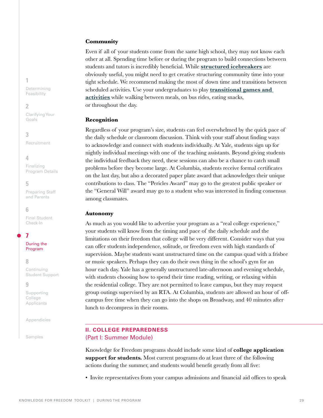#### **Community**

Even if all of your students come from the same high school, they may not know each other at all. Spending time before or during the program to build connections between students and tutors is incredibly beneficial. While **[structured icebreakers](https://docs.google.com/document/d/11MV4ZNlADAv1QdYRPvA7qDWQEwEwrCzmzOQOcCkSa_c/edit?usp=sharing)** are obviously useful, you might need to get creative structuring community time into your tight schedule. We recommend making the most of down time and transitions between scheduled activities. Use your undergraduates to play **[transitional games and](https://docs.google.com/document/d/1ko0UJhZAkzAA0NI78-ALxs8XSb3sWgvGWW7kdy7cyKQ/edit)  [activities](https://docs.google.com/document/d/1ko0UJhZAkzAA0NI78-ALxs8XSb3sWgvGWW7kdy7cyKQ/edit)** while walking between meals, on bus rides, eating snacks, or throughout the day.

#### **Recognition**

Regardless of your program's size, students can feel overwhelmed by the quick pace of the daily schedule or classroom discussion. Think with your staff about finding ways to acknowledge and connect with students individually. At Yale, students sign up for nightly individual meetings with one of the teaching assistants. Beyond giving students the individual feedback they need, these sessions can also be a chance to catch small problems before they become large. At Columbia, students receive formal certificates on the last day, but also a decorated paper plate award that acknowledges their unique contributions to class. The "Pericles Award" may go to the greatest public speaker or the "General Will" award may go to a student who was interested in finding consensus among classmates.

#### **Autonomy**

As much as you would like to advertise your program as a "real college experience," your students will know from the timing and pace of the daily schedule and the limitations on their freedom that college will be very different. Consider ways that you can offer students independence, solitude, or freedom even with high standards of supervision. Maybe students want unstructured time on the campus quad with a frisbee or music speakers. Perhaps they can do their own thing in the school's gym for an hour each day. Yale has a generally unstructured late-afternoon and evening schedule, with students choosing how to spend their time reading, writing, or relaxing within the residential college. They are not permitted to leave campus, but they may request group outings supervised by an RTA. At Columbia, students are allowed an hour of offcampus free time when they can go into the shops on Broadway, and 40 minutes after lunch to decompress in their rooms.

## <span id="page-28-0"></span>**II. COLLEGE PREPAREDNESS** (Part I: Summer Module)

Knowledge for Freedom programs should include some kind of **college application support for students.** Most current programs do at least three of the following actions during the summer, and students would benefit greatly from all five:

• Invite representatives from your campus admissions and financial aid offices to speak

**1** [Determining](#page-2-0)  Feasibility

#### **2**

[Clarifying Your](#page-10-0)  Goals

**3** [Recruitment](#page-14-0)

**4**

Finalizing [Program Details](#page-18-0)

**5**

[Preparing Staff](#page-23-0)  and Parents

#### **6**

[Final Student](#page-26-0)  Check-In

## **7**

[During the](#page-27-0)  Program

#### **8**

Continuing [Student Support](#page-33-0)

#### **9**

[Supporting](#page-36-0)  College Applicants

[Appendicies](#page-37-0)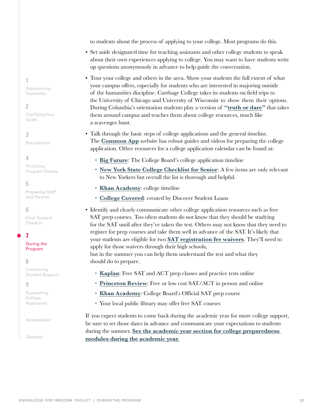to students about the process of applying to your college. Most programs do this.

- Set aside designated time for teaching assistants and other college students to speak about their own experiences applying to college. You may want to have students write up questions anonymously in advance to help guide the conversation.
- Tour your college and others in the area. Show your students the full extent of what your campus offers, especially for students who are interested in majoring outside of the humanities discipline. Carthage College takes its students on field trips to the University of Chicago and University of Wisconsin to show them their options. During Columbia's orientation students play a version of **["truth or dare"](https://docs.google.com/document/d/1kqsb7NKJJoi0JmiVCFgj7gXuYjyEEKHvfsV-y4qKjss/edit?usp=sharing)** that takes them around campus and teaches them about college resources, much like a scavenger hunt.
- Talk through the basic steps of college applications and the general timeline. The **[Common App](https://www.commonapp.org/apply/first-time-students)** website has robust guides and videos for preparing the college application. Other resources for a college application calendar can be found at:
	- **[Big Future](https://bigfuture.collegeboard.org/get-in/applying-101/timeline-12-grade)**: The College Board's college application timeline
	- **[New York State College Checklist for Senior](https://www.hesc.ny.gov/prepare-for-college/your-high-school-path-to-college/checklists/senior-checklist.html)**: A few items are only relevant to New Yorkers but overall the list is thorough and helpful.
	- **[Khan Academy](https://www.khanacademy.org/college-careers-more/college-admissions/get-started/introduction-ca/a/master-timeline-college-admissions)**: college timeline
	- **[College Covered](https://www.collegecovered.com/planning-calendar/)**: created by Discover Student Loans
- Identify and clearly communicate other college application resources such as free SAT prep courses. Too often students do not know that they should be studying for the SAT until after they've taken the test. Others may not know that they need to register for prep courses and take them well in advance of the SAT. It's likely that your students are eligible for two **[SAT registration fee waivers](https://collegereadiness.collegeboard.org/sat/register/fees/fee-waivers)**. They'll need to apply for those waivers through their high schools,

but in the summer you can help them understand the test and what they should do to prepare.

- **[Kaplan](https://www.kaptest.com/sat/free/events)**: Free SAT and ACT prep classes and practice tests online
- **[Princeton Review](https://www.princetonreview.com/promo)**: Free or low cost SAT/ACT in person and online
- **[Khan Academy](https://www.khanacademy.org/sat)**: College Board's Official SAT prep course
- Your local public library may offer free SAT courses

If you expect students to come back during the academic year for more college support, be sure to set those dates in advance and communicate your expectations to students during the summer. **[See the academic year section for college preparedness](#page-33-1)  [modules during the academic year.](#page-33-1)**

**1** [Determining](#page-2-0)  Feasibility

## **2**

[Clarifying Your](#page-10-0)  Goals

**3**

[Recruitment](#page-14-0)

## **4**

Finalizing [Program Details](#page-18-0)

## **5**

[Preparing Staff](#page-23-0)  and Parents

## **6**

[Final Student](#page-26-0)  Check-In

## **7**

[During the](#page-27-0)  Program

## **8**

Continuing [Student Support](#page-33-0)

## **9**

[Supporting](#page-36-0)  College Applicants

[Appendicies](#page-37-0)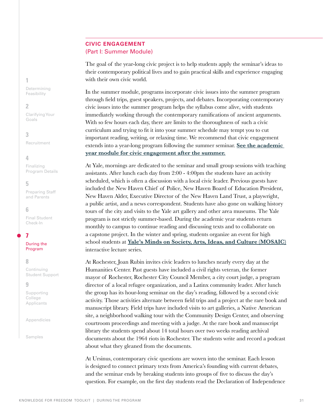## **CIVIC ENGAGEMENT**  (Part I: Summer Module)

The goal of the year-long civic project is to help students apply the seminar's ideas to their contemporary political lives and to gain practical skills and experience engaging with their own civic world.

In the summer module, programs incorporate civic issues into the summer program through field trips, guest speakers, projects, and debates. Incorporating contemporary civic issues into the summer program helps the syllabus come alive, with students immediately working through the contemporary ramifications of ancient arguments. With so few hours each day, there are limits to the thoroughness of such a civic curriculum and trying to fit it into your summer schedule may tempt you to cut important reading, writing, or relaxing time. We recommend that civic engagement extends into a year-long program following the summer seminar. **[See the academic](#page-34-0)  [year module for civic engagement after the summer.](#page-34-0)**

At Yale, mornings are dedicated to the seminar and small group sessions with teaching assistants. After lunch each day from 2:00 - 4:00pm the students have an activity scheduled, which is often a discussion with a local civic leader. Previous guests have included the New Haven Chief of Police, New Haven Board of Education President, New Haven Alder, Executive Director of the New Haven Land Trust, a playwright, a public artist, and a news correspondent. Students have also gone on walking history tours of the city and visits to the Yale art gallery and other area museums. The Yale program is not strictly summer-based. During the academic year students return monthly to campus to continue reading and discussing texts and to collaborate on a capstone project. In the winter and spring, students organize an event for high school students at **[Yale's Minds on Society, Arts, Ideas, and Culture \(MOSAIC\)](https://onha.yale.edu/event/mosaic-utopiaimagine-perfect-city)** interactive lecture series.

At Rochester, Joan Rubin invites civic leaders to lunches nearly every day at the Humanities Center. Past guests have included a civil rights veteran, the former mayor of Rochester, Rochester City Council Member, a city court judge, a program director of a local refugee organization, and a Latinx community leader. After lunch the group has its hour-long seminar on the day's reading, followed by a second civic activity. Those activities alternate between field trips and a project at the rare book and manuscript library. Field trips have included visits to art galleries, a Native American site, a neighborhood walking tour with the Community Design Center, and observing courtroom proceedings and meeting with a judge. At the rare book and manuscript library the students spend about 14 total hours over two weeks reading archival documents about the 1964 riots in Rochester. The students write and record a podcast about what they gleaned from the documents.

At Ursinus, contemporary civic questions are woven into the seminar. Each lesson is designed to connect primary texts from America's founding with current debates, and the seminar ends by breaking students into groups of five to discuss the day's question. For example, on the first day students read the Declaration of Independence

<span id="page-30-0"></span>**1**

[Determining](#page-2-0)  Feasibility

#### **2**

[Clarifying Your](#page-10-0)  Goals

**3** [Recruitment](#page-14-0)

**4**

Finalizing [Program Details](#page-18-0)

## **5**

[Preparing Staff](#page-23-0)  and Parents

## **6**

[Final Student](#page-26-0)  Check-In

## **7**

[During the](#page-27-0)  Program

#### **8**

Continuing [Student Support](#page-33-0)

#### **9**

[Supporting](#page-36-0)  College Applicants

[Appendicies](#page-37-0)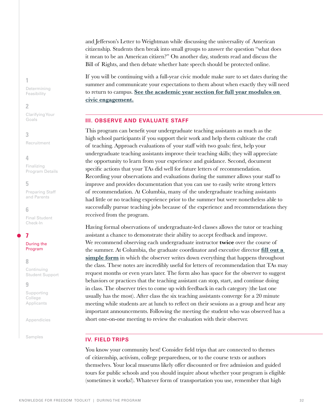and Jefferson's Letter to Weightman while discussing the universality of American citizenship. Students then break into small groups to answer the question "what does it mean to be an American citizen?" On another day, students read and discuss the Bill of Rights, and then debate whether hate speech should be protected online.

If you will be continuing with a full-year civic module make sure to set dates during the summer and communicate your expectations to them about when exactly they will need to return to campus. **[See the academic year section for full year modules on](#page-34-0)  [civic engagement.](#page-34-0)**

## <span id="page-31-0"></span>**III. OBSERVE AND EVALUATE STAFF**

This program can benefit your undergraduate teaching assistants as much as the high school participants if you support their work and help them cultivate the craft of teaching. Approach evaluations of your staff with two goals: first, help your undergraduate teaching assistants improve their teaching skills; they will appreciate the opportunity to learn from your experience and guidance. Second, document specific actions that your TAs did well for future letters of recommendation. Recording your observations and evaluations during the summer allows your staff to improve and provides documentation that you can use to easily write strong letters of recommendation. At Columbia, many of the undergraduate teaching assistants had little or no teaching experience prior to the summer but were nonetheless able to successfully pursue teaching jobs because of the experience and recommendations they received from the program.

Having formal observations of undergraduate-led classes allows the tutor or teaching assistant a chance to demonstrate their ability to accept feedback and improve. We recommend observing each undergraduate instructor **twice** over the course of the summer. At Columbia, the graduate coordinator and executive director **[fill out a](https://docs.google.com/document/d/1ZVic861GgrltzJkmPZPfgfS1p3rUvxnf9gaeDZj1Rl0/edit)  [simple form](https://docs.google.com/document/d/1ZVic861GgrltzJkmPZPfgfS1p3rUvxnf9gaeDZj1Rl0/edit)** in which the observer writes down everything that happens throughout the class. These notes are incredibly useful for letters of recommendation that TAs may request months or even years later. The form also has space for the observer to suggest behaviors or practices that the teaching assistant can stop, start, and continue doing in class. The observer tries to come up with feedback in each category (the last one usually has the most). After class the six teaching assistants converge for a 20 minute meeting while students are at lunch to reflect on their sessions as a group and hear any important announcements. Following the meeting the student who was observed has a short one-on-one meeting to review the evaluation with their observer.

#### <span id="page-31-1"></span>**IV. FIELD TRIPS**

You know your community best! Consider field trips that are connected to themes of citizenship, activism, college preparedness, or to the course texts or authors themselves. Your local museums likely offer discounted or free admission and guided tours for public schools and you should inquire about whether your program is eligible (sometimes it works!). Whatever form of transportation you use, remember that high

**1**

[Determining](#page-2-0)  Feasibility

#### **2**

[Clarifying Your](#page-10-0)  Goals

## **3**

[Recruitment](#page-14-0)

#### **4**

Finalizing [Program Details](#page-18-0)

#### **5**

[Preparing Staff](#page-23-0)  and Parents

#### **6**

[Final Student](#page-26-0)  Check-In

## **7**

[During the](#page-27-0)  Program

#### **8**

Continuing [Student Support](#page-33-0)

#### **9**

[Supporting](#page-36-0)  College Applicants

[Appendicies](#page-37-0)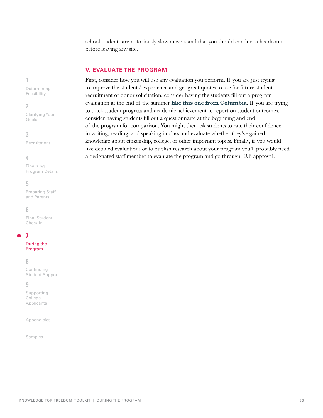school students are notoriously slow movers and that you should conduct a headcount before leaving any site.

## <span id="page-32-0"></span>**V. EVALUATE THE PROGRAM**

First, consider how you will use any evaluation you perform. If you are just trying to improve the students' experience and get great quotes to use for future student recruitment or donor solicitation, consider having the students fill out a program evaluation at the end of the summer **[like this one from Columbia](https://docs.google.com/document/d/1YBhPrgxlxFc1cQ048n5OWjLdpo_7srEKPA6GUBPLf0c/edit)**. If you are trying to track student progress and academic achievement to report on student outcomes, consider having students fill out a questionnaire at the beginning and end of the program for comparison. You might then ask students to rate their confidence in writing, reading, and speaking in class and evaluate whether they've gained knowledge about citizenship, college, or other important topics. Finally, if you would like detailed evaluations or to publish research about your program you'll probably need a designated staff member to evaluate the program and go through IRB approval.

## **1**

[Determining](#page-2-0)  Feasibility

#### **2**

[Clarifying Your](#page-10-0)  Goals

#### **3**

[Recruitment](#page-14-0)

#### **4**

Finalizing [Program Details](#page-18-0)

#### **5**

[Preparing Staff](#page-23-0)  and Parents

#### **6**

[Final Student](#page-26-0)  Check-In

## **7**

[During the](#page-27-0)  Program

#### **8**

Continuing [Student Support](#page-33-0)

#### **9**

[Supporting](#page-36-0)  College Applicants

[Appendicies](#page-37-0)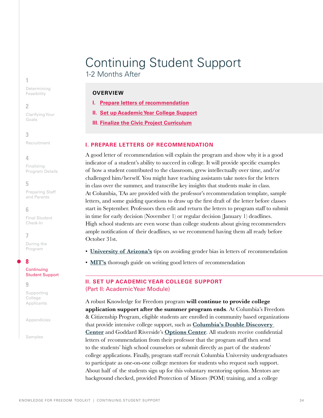# <span id="page-33-0"></span>Continuing Student Support 1-2 Months After

## **OVERVIEW**

- **I. [Prepare letters of recommendation](#page-33-2)**
- **II. [Set up Academic Year College Support](#page-33-1)**
- **III. [Finalize the Civic Project Curriculum](#page-34-0)**

## <span id="page-33-2"></span>**I. PREPARE LETTERS OF RECOMMENDATION**

A good letter of recommendation will explain the program and show why it is a good indicator of a student's ability to succeed in college. It will provide specific examples of how a student contributed to the classroom, grew intellectually over time, and/or challenged him/herself. You might have teaching assistants take notes for the letters in class over the summer, and transcribe key insights that students make in class. At Columbia, TAs are provided with the professor's recommendation template, sample letters, and some guiding questions to draw up the first draft of the letter before classes start in September. Professors then edit and return the letters to program staff to submit in time for early decision (November 1) or regular decision (January 1) deadlines. High school students are even worse than college students about giving recommenders ample notification of their deadlines, so we recommend having them all ready before October 31st.

- **[University of Arizona's](https://csw.arizona.edu/sites/default/files/avoiding_gender_bias_in_letter_of_reference_writing.pdf)** tips on avoiding gender bias in letters of recommendation
- **[MIT's](https://mitadmissions.org/apply/parents-educators/writingrecs/)** thorough guide on writing good letters of recommendation

## <span id="page-33-1"></span>**II. SET UP ACADEMIC YEAR COLLEGE SUPPORT**  (Part II: Academic Year Module)

A robust Knowledge for Freedom program **will continue to provide college application support after the summer program ends**. At Columbia's Freedom & Citizenship Program, eligible students are enrolled in community based organizations that provide intensive college support, such as **[Columbia's Double Discovery](https://ddc.college.columbia.edu/)  [Center](https://ddc.college.columbia.edu/)** and Goddard Riverside's **[Options Center](https://www.goddard.org/grcc/programs/ChildrenYouth/options/)**. All students receive confidential letters of recommendation from their professor that the program staff then send to the students' high school counselors or submit directly as part of the students' college applications. Finally, program staff recruit Columbia University undergraduates to participate as one-on-one college mentors for students who request such support. About half of the students sign up for this voluntary mentoring option. Mentors are background checked, provided Protection of Minors (POM) training, and a college

**1**

[Determining](#page-2-0)  Feasibility

#### **2**

[Clarifying Your](#page-10-0)  Goals

## **3**

[Recruitment](#page-14-0)

## **4**

Finalizing [Program Details](#page-18-0)

## **5**

[Preparing Staff](#page-23-0)  and Parents

## **6**

[Final Student](#page-26-0)  Check-In

## **7**

[During the](#page-27-0)  Program

## **8**

#### **Continuing** [Student Support](#page-33-0)

**9**

[Supporting](#page-36-0)  College Applicants

[Appendicies](#page-37-0)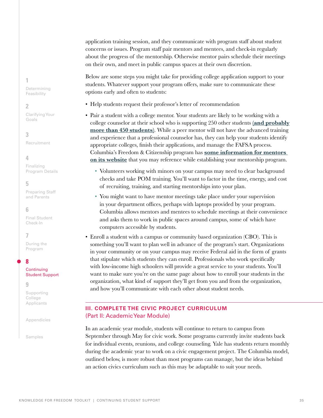application training session, and they communicate with program staff about student concerns or issues. Program staff pair mentors and mentees, and check-in regularly about the progress of the mentorship. Otherwise mentor pairs schedule their meetings on their own, and meet in public campus spaces at their own discretion.

Below are some steps you might take for providing college application support to your students. Whatever support your program offers, make sure to communicate these options early and often to students:

- Help students request their professor's letter of recommendation
- Pair a student with a college mentor. Your students are likely to be working with a college counselor at their school who is supporting 250 other students **[\(and probably](https://www.nacacnet.org/advocacy--ethics/initiatives/school-counseling/)  [more than 450 students\)](https://www.nacacnet.org/advocacy--ethics/initiatives/school-counseling/)**. While a peer mentor will not have the advanced training and experience that a professional counselor has, they can help your students identify appropriate colleges, finish their applications, and manage the FAFSA process. Columbia's Freedom & Citizenship program has **[some information for mentors](https://freedomandcitizenship.columbia.edu/content/resources-college-mentors)  [on its website](https://freedomandcitizenship.columbia.edu/content/resources-college-mentors)** that you may reference while establishing your mentorship program.
	- Volunteers working with minors on your campus may need to clear background checks and take POM training. You'll want to factor in the time, energy, and cost of recruiting, training, and starting mentorships into your plan.
	- You might want to have mentor meetings take place under your supervision in your department offices, perhaps with laptops provided by your program. Columbia allows mentors and mentees to schedule meetings at their convenience and asks them to work in public spaces around campus, some of which have computers accessible by students.
- Enroll a student with a campus or community based organization (CBO). This is something you'll want to plan well in advance of the program's start. Organizations in your community or on your campus may receive Federal aid in the form of grants that stipulate which students they can enroll. Professionals who work specifically with low-income high schoolers will provide a great service to your students. You'll want to make sure you're on the same page about how to enroll your students in the organization, what kind of support they'll get from you and from the organization, and how you'll communicate with each other about student needs.

## <span id="page-34-0"></span>**III. COMPLETE THE CIVIC PROJECT CURRICULUM** (Part II: Academic Year Module)

In an academic year module, students will continue to return to campus from September through May for civic work. Some programs currently invite students back for individual events, reunions, and college counseling. Yale has students return monthly during the academic year to work on a civic engagement project. The Columbia model, outlined below, is more robust than most programs can manage, but the ideas behind an action civics curriculum such as this may be adaptable to suit your needs.

**1**

[Determining](#page-2-0)  Feasibility

#### **2**

[Clarifying Your](#page-10-0)  Goals

**3**

[Recruitment](#page-14-0)

**4**

Finalizing [Program Details](#page-18-0)

## **5**

[Preparing Staff](#page-23-0)  and Parents

#### **6**

[Final Student](#page-26-0)  Check-In

## **7**

[During the](#page-27-0)  Program

## **8**

#### **Continuing** [Student Support](#page-33-0)

**9**

[Supporting](#page-36-0)  College Applicants

[Appendicies](#page-37-0)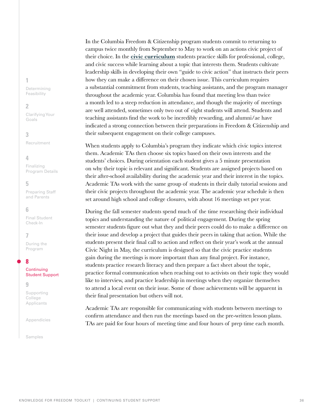**1**

[Determining](#page-2-0)  Feasibility

#### **2**

[Clarifying Your](#page-10-0)  Goals

## **3**

[Recruitment](#page-14-0)

## **4**

Finalizing [Program Details](#page-18-0)

#### **5**

[Preparing Staff](#page-23-0)  and Parents

## **6**

[Final Student](#page-26-0)  Check-In

## **7**

[During the](#page-27-0)  Program

## **8**

#### **Continuing** [Student Support](#page-33-0)

**9**

[Supporting](#page-36-0)  College Applicants

[Appendicies](#page-37-0)

[Samples](#page-37-1)

In the Columbia Freedom & Citizenship program students commit to returning to campus twice monthly from September to May to work on an actions civic project of their choice. In the **[civic curriculum](https://docs.google.com/document/d/1QR0vxv45-gy9qAc3bMUp_KH8-9qCI5C43hy7xaAMFX4/edit)** students practice skills for professional, college, and civic success while learning about a topic that interests them. Students cultivate leadership skills in developing their own "guide to civic action" that instructs their peers how they can make a difference on their chosen issue. This curriculum requires a substantial commitment from students, teaching assistants, and the program manager throughout the academic year. Columbia has found that meeting less than twice a month led to a steep reduction in attendance, and though the majority of meetings are well attended, sometimes only two out of eight students will attend. Students and teaching assistants find the work to be incredibly rewarding, and alumni/ae have indicated a strong connection between their preparations in Freedom & Citizenship and their subsequent engagement on their college campuses.

When students apply to Columbia's program they indicate which civic topics interest them. Academic TAs then choose six topics based on their own interests and the students' choices. During orientation each student gives a 5 minute presentation on why their topic is relevant and significant. Students are assigned projects based on their after-school availability during the academic year and their interest in the topics. Academic TAs work with the same group of students in their daily tutorial sessions and their civic projects throughout the academic year. The academic year schedule is then set around high school and college closures, with about 16 meetings set per year.

During the fall semester students spend much of the time researching their individual topics and understanding the nature of political engagement. During the spring semester students figure out what they and their peers could do to make a difference on their issue and develop a project that guides their peers in taking that action. While the students present their final call to action and reflect on their year's work at the annual Civic Night in May, the curriculum is designed so that the civic practice students gain during the meetings is more important than any final project. For instance, students practice research literacy and then prepare a fact sheet about the topic, practice formal communication when reaching out to activists on their topic they would like to interview, and practice leadership in meetings when they organize themselves to attend a local event on their issue. Some of those achievements will be apparent in their final presentation but others will not.

Academic TAs are responsible for communicating with students between meetings to confirm attendance and then run the meetings based on the pre-written lesson plans. TAs are paid for four hours of meeting time and four hours of prep time each month.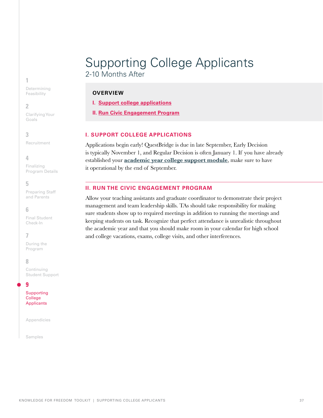## <span id="page-36-0"></span>Supporting College Applicants 2-10 Months After

## **OVERVIEW**

**I. [Support college applications](#page-36-1)**

**II. [Run Civic Engagement](#page-36-2) Program**

## <span id="page-36-1"></span>**I. SUPPORT COLLEGE APPLICATIONS**

Applications begin early! QuestBridge is due in late September, Early Decision is typically November 1, and Regular Decision is often January 1. If you have already established your **[academic year college support module](#page-33-1)**, make sure to have it operational by the end of September.

## <span id="page-36-2"></span>**II. RUN THE CIVIC ENGAGEMENT PROGRAM**

Allow your teaching assistants and graduate coordinator to demonstrate their project management and team leadership skills. TAs should take responsibility for making sure students show up to required meetings in addition to running the meetings and keeping students on task. Recognize that perfect attendance is unrealistic throughout the academic year and that you should make room in your calendar for high school and college vacations, exams, college visits, and other interferences.

#### **1**

[Determining](#page-2-0)  Feasibility

#### **2**

[Clarifying Your](#page-10-0)  Goals

#### **3**

[Recruitment](#page-14-0)

#### **4**

Finalizing [Program Details](#page-18-0)

## **5**

[Preparing Staff](#page-23-0)  and Parents

## **6**

[Final Student](#page-26-0)  Check-In

## **7**

[During the](#page-27-0)  Program

#### **8**

Continuing [Student Support](#page-33-0)

#### **9**

[Supporting](#page-36-0)  College Applicants

[Appendicies](#page-37-0)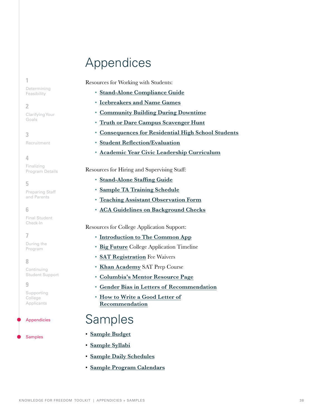# <span id="page-37-0"></span>Appendices

**1** [Determining](#page-2-0)  Feasibility

**2**

[Clarifying Your](#page-10-0)  Goals

**3** [Recruitment](#page-14-0)

**4**

Finalizing [Program Details](#page-18-0)

**5**

[Preparing Staff](#page-23-0)  and Parents

**6** 

[Final Student](#page-26-0)  Check-In

**7**

[During the](#page-27-0)  Program

## **8**

Continuing [Student Support](#page-33-0)

**9**

[Supporting](#page-36-0)  College Applicants

[Appendicies](#page-37-0)

[Samples](#page-37-1)

Resources for Working with Students:

- **[Stand-Alone Compliance Guide](https://docs.google.com/document/d/1g-uhfcKS3sDUM263a6-kdIisZR0e19IJWFpXLTQ7a5Q/edit)**
- **[Icebreakers and Name Games](https://docs.google.com/document/d/11MV4ZNlADAv1QdYRPvA7qDWQEwEwrCzmzOQOcCkSa_c/edit)**
- **[Community Building During Downtime](https://docs.google.com/document/d/1ko0UJhZAkzAA0NI78-ALxs8XSb3sWgvGWW7kdy7cyKQ/edit)**
- **[Truth or Dare Campus Scavenger Hunt](https://docs.google.com/document/d/1kqsb7NKJJoi0JmiVCFgj7gXuYjyEEKHvfsV-y4qKjss/edit?usp=sharing)**
- **[Consequences for Residential High School Students](https://docs.google.com/document/d/1QNbBqjJEcsHNLhuH3V7XSKSFrS_eWAR-gkx1qdwM4RU/edit)**
- **[Student Reflection/Evaluation](https://docs.google.com/document/d/1YBhPrgxlxFc1cQ048n5OWjLdpo_7srEKPA6GUBPLf0c/edit)**
- **[Academic Year Civic Leadership Curriculum](https://docs.google.com/document/d/1QR0vxv45-gy9qAc3bMUp_KH8-9qCI5C43hy7xaAMFX4/edit)**

Resources for Hiring and Supervising Staff:

- **[Stand-Alone Staffing Guide](https://docs.google.com/document/d/1Btsnc8MoIXsfsfDouIPYiFBQYvgJdHeJ-M5lbngFbMs/edit)**
- **[Sample TA Training Schedule](https://docs.google.com/document/d/17FXgplUx8mCEB9fxgJOtiPEDUZ7Ht0XiJ2zwQsYQuA8/edit)**
- **[Teaching Assistant Observation Form](https://docs.google.com/document/d/1ZVic861GgrltzJkmPZPfgfS1p3rUvxnf9gaeDZj1Rl0/edit)**
- **[ACA Guidelines on Background Checks](https://www.acacamps.org/sites/default/files/resource_library/publicpolicy/Criminal_Background_Checks_Education_2018.pdf)**

Resources for College Application Support:

- **[Introduction to The Common App](https://www.commonapp.org/apply/first-time-students)**
- **[Big Future](https://bigfuture.collegeboard.org/get-in/applying-101/timeline-12-grade)** College Application Timeline
- **[SAT Registration](https://collegereadiness.collegeboard.org/sat/register/fees/fee-waivers)** Fee Waivers
- **[Khan Academy](https://www.khanacademy.org/sat)** SAT Prep Course
- **Columbia's Mentor Resource Page**
- **[Gender Bias in Letters of Recommendation](https://csw.arizona.edu/sites/default/files/avoiding_gender_bias_in_letter_of_reference_writing.pdf)**
- <span id="page-37-1"></span>• **[How to Write a Good Letter of](https://mitadmissions.org/apply/parents-educators/writingrecs/) Recommendation**

- **[Sample Budget](https://docs.google.com/document/d/1PgJON3fB8bznKnuFyYk_3Ehxi8BnrbrnOMRuFaehw-E/edit)**
- **[Sample Syllabi](https://docs.google.com/document/d/1eZYq0iVmlpK_uFdeXzskB3e4cO4S9etvjVOa7kmBH40/edit)**
- **[Sample Daily Schedules](https://docs.google.com/document/d/1MloEC6WqFMiNV-STZfD3vNctST7yLaVnk4Dm4GGtwKQ/edit)**
- **[Sample Program Calendars](https://docs.google.com/document/d/1GGjwnEhzQEtQOMnqQ36MOOnASntPm4Ek2mvhnK4n9Lc/edit?usp=sharing)**